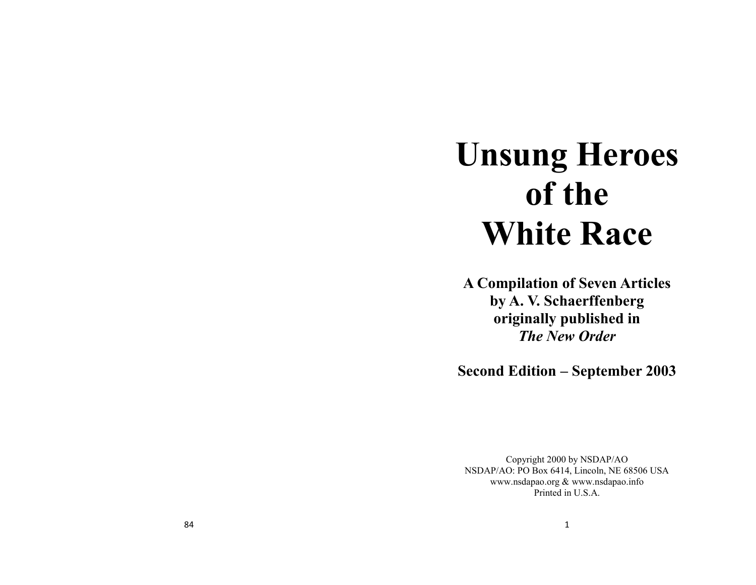# **Unsung Heroes of the White Race**

**A Compilation of Seven Articles by A. V. Schaerffenberg originally published in** *The New Order*

**Second Edition – September 2003**

Copyright 2000 by NSDAP/AO NSDAP/AO: PO Box 6414, Lincoln, NE 68506 USA www.nsdapao.org & www.nsdapao.info Printed in U.S.A.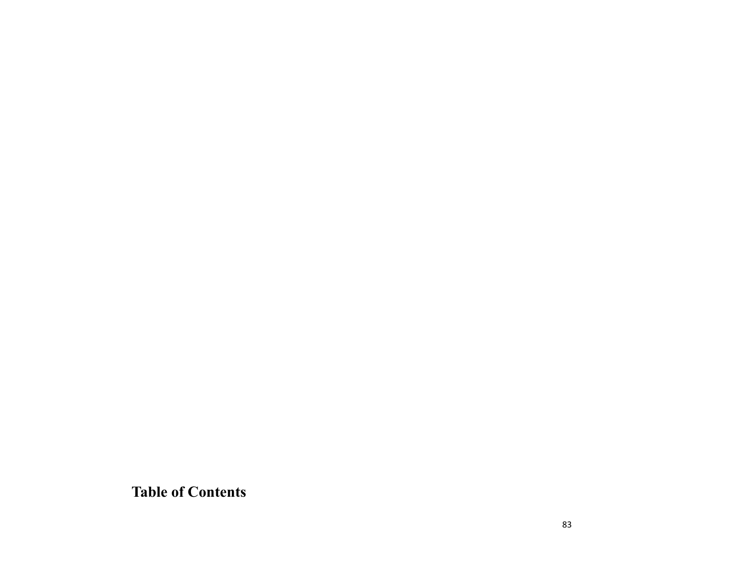**Table of Contents**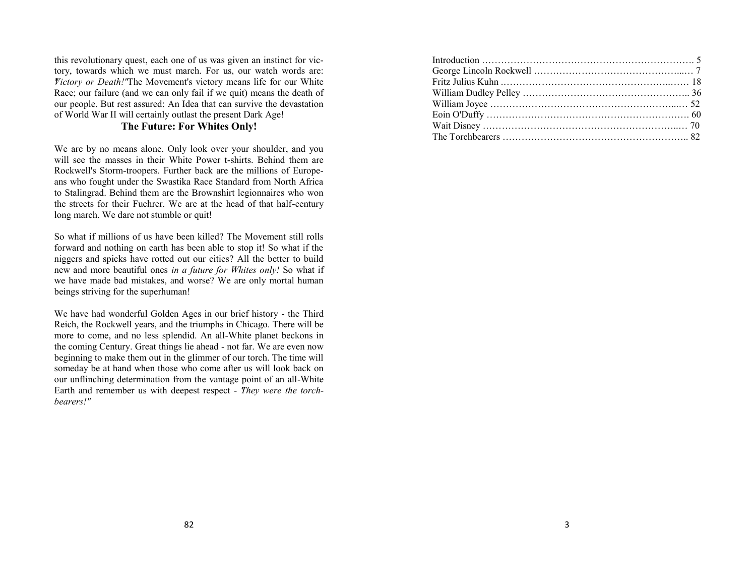this revolutionary quest, each one of us was given an instinct for victory, towards which we must march. For us, our watch words are: *Victory or Death!* "The Movement's victory means life for our White Race; our failure (and we can only fail if we quit) means the death of our people. But rest assured: An Idea that can survive the devastation of World War II will certainly outlast the present Dark Age!

#### **The Future: For Whites Only!**

We are by no means alone. Only look over your shoulder, and you will see the masses in their White Power t-shirts. Behind them are Rockwell's Storm-troopers. Further back are the millions of Europeans who fought under the Swastika Race Standard from North Africa to Stalingrad. Behind them are the Brownshirt legionnaires who won the streets for their Fuehrer. We are at the head of that half-century long march. We dare not stumble or quit!

So what if millions of us have been killed? The Movement still rolls forward and nothing on earth has been able to stop it! So what if the niggers and spicks have rotted out our cities? All the better to build new and more beautiful ones *in a future for Whites only!* So what if we have made bad mistakes, and worse? We are only mortal human beings striving for the superhuman!

We have had wonderful Golden Ages in our brief history - the Third Reich, the Rockwell years, and the triumphs in Chicago. There will be more to come, and no less splendid. An all-White planet beckons in the coming Century. Great things lie ahead - not far. We are even now beginning to make them out in the glimmer of our torch. The time will someday be at hand when those who come after us will look back on our unflinching determination from the vantage point of an all-White Earth and remember us with deepest respect - *"They were the torchbearers!"*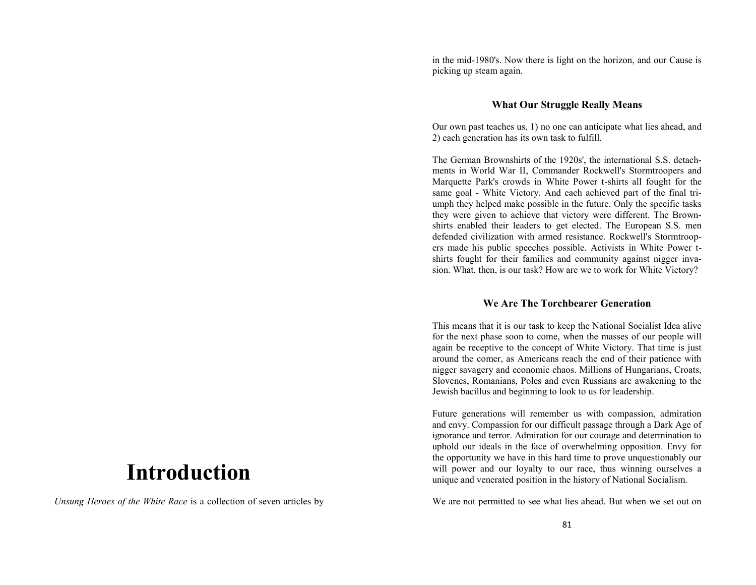in the mid-1980's. Now there is light on the horizon, and our Cause is picking up steam again.

#### **What Our Struggle Really Means**

Our own past teaches us, 1) no one can anticipate what lies ahead, and 2) each generation has its own task to fulfill.

The German Brownshirts of the 1920s', the international S.S. detachments in World War II, Commander Rockwell's Stormtroopers and Marquette Park's crowds in White Power t-shirts all fought for the same goal - White Victory. And each achieved part of the final triumph they helped make possible in the future. Only the specific tasks they were given to achieve that victory were different. The Brownshirts enabled their leaders to get elected. The European S.S. men defended civilization with armed resistance. Rockwell's Stormtroopers made his public speeches possible. Activists in White Power tshirts fought for their families and community against nigger invasion. What, then, is our task? How are we to work for White Victory?

#### **We Are The Torchbearer Generation**

This means that it is our task to keep the National Socialist Idea alive for the next phase soon to come, when the masses of our people will again be receptive to the concept of White Victory. That time is just around the comer, as Americans reach the end of their patience with nigger savagery and economic chaos. Millions of Hungarians, Croats, Slovenes, Romanians, Poles and even Russians are awakening to the Jewish bacillus and beginning to look to us for leadership.

Future generations will remember us with compassion, admiration and envy. Compassion for our difficult passage through a Dark Age of ignorance and terror. Admiration for our courage and determination to uphold our ideals in the face of overwhelming opposition. Envy for the opportunity we have in this hard time to prove unquestionably our will power and our loyalty to our race, thus winning ourselves a unique and venerated position in the history of National Socialism.

We are not permitted to see what lies ahead. But when we set out on

## **Introduction**

*Unsung Heroes of the White Race* is a collection of seven articles by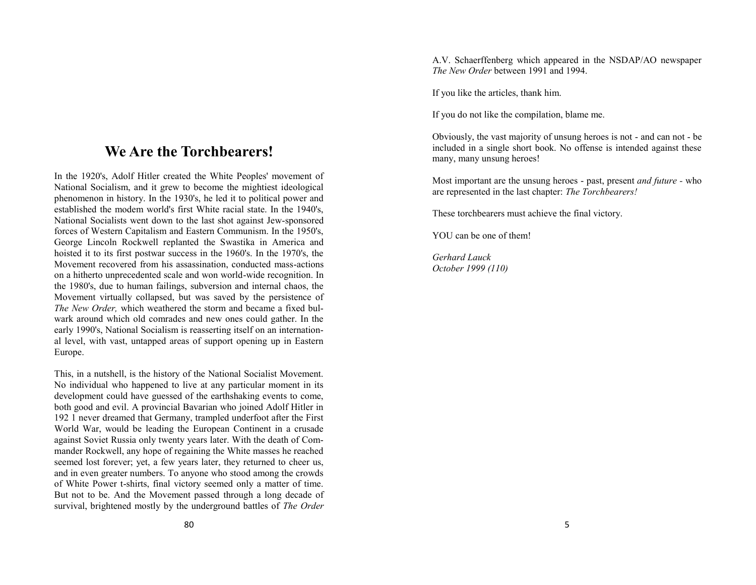## **We Are the Torchbearers!**

In the 1920's, Adolf Hitler created the White Peoples' movement of National Socialism, and it grew to become the mightiest ideological phenomenon in history. In the 1930's, he led it to political power and established the modem world's first White racial state. In the 1940's, National Socialists went down to the last shot against Jew-sponsored forces of Western Capitalism and Eastern Communism. In the 1950's, George Lincoln Rockwell replanted the Swastika in America and hoisted it to its first postwar success in the 1960's. In the 1970's, the Movement recovered from his assassination, conducted mass-actions on a hitherto unprecedented scale and won world-wide recognition. In the 1980's, due to human failings, subversion and internal chaos, the Movement virtually collapsed, but was saved by the persistence of *The New Order,* which weathered the storm and became a fixed bulwark around which old comrades and new ones could gather. In the early 1990's, National Socialism is reasserting itself on an international level, with vast, untapped areas of support opening up in Eastern Europe.

This, in a nutshell, is the history of the National Socialist Movement. No individual who happened to live at any particular moment in its development could have guessed of the earthshaking events to come, both good and evil. A provincial Bavarian who joined Adolf Hitler in 192 1 never dreamed that Germany, trampled underfoot after the First World War, would be leading the European Continent in a crusade against Soviet Russia only twenty years later. With the death of Commander Rockwell, any hope of regaining the White masses he reached seemed lost forever; yet, a few years later, they returned to cheer us, and in even greater numbers. To anyone who stood among the crowds of White Power t-shirts, final victory seemed only a matter of time. But not to be. And the Movement passed through a long decade of survival, brightened mostly by the underground battles of *The Order*  A.V. Schaerffenberg which appeared in the NSDAP/AO newspaper *The New Order* between 1991 and 1994.

If you like the articles, thank him.

If you do not like the compilation, blame me.

Obviously, the vast majority of unsung heroes is not - and can not - be included in a single short book. No offense is intended against these many, many unsung heroes!

Most important are the unsung heroes - past, present *and future -* who are represented in the last chapter: *The Torchbearers!*

These torchbearers must achieve the final victory.

YOU can be one of them!

*Gerhard Lauck October 1999 (110)*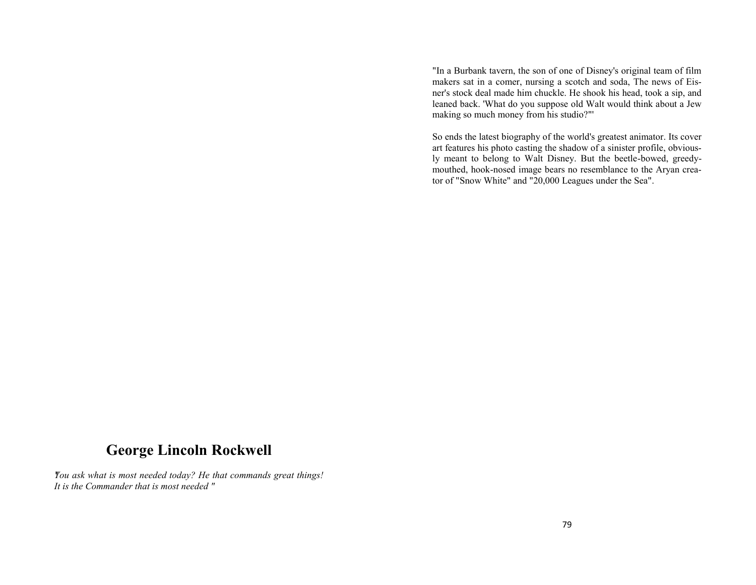"In a Burbank tavern, the son of one of Disney's original team of film makers sat in a comer, nursing a scotch and soda, The news of Eisner's stock deal made him chuckle. He shook his head, took a sip, and leaned back. 'What do you suppose old Walt would think about a Jew making so much money from his studio?"'

So ends the latest biography of the world's greatest animator. Its cover art features his photo casting the shadow of a sinister profile, obviously meant to belong to Walt Disney. But the beetle-bowed, greedymouthed, hook-nosed image bears no resemblance to the Aryan creator of "Snow White" and "20,000 Leagues under the Sea".

## **George Lincoln Rockwell**

*"You ask what is most needed today? He that commands great things! It is the Commander that is most needed "*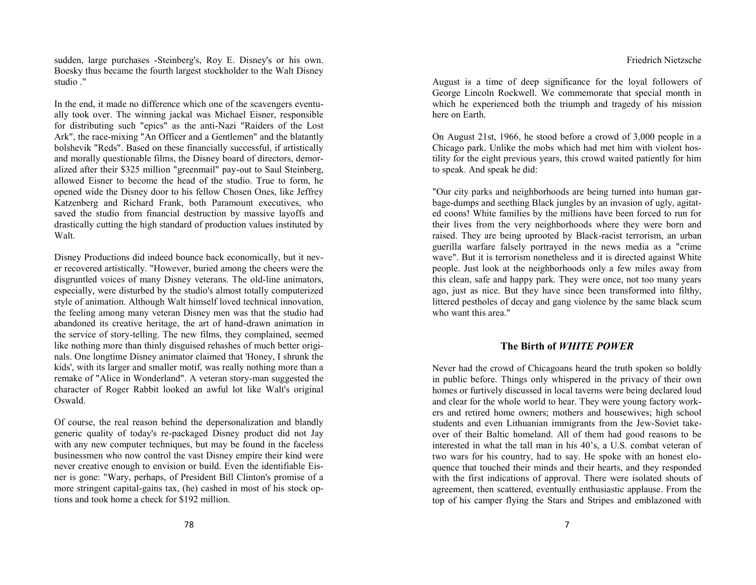sudden, large purchases -Steinberg's, Roy E. Disney's or his own. Boesky thus became the fourth largest stockholder to the Walt Disney studio ."

In the end, it made no difference which one of the scavengers eventually took over. The winning jackal was Michael Eisner, responsible for distributing such "epics" as the anti-Nazi "Raiders of the Lost Ark", the race-mixing "An Officer and a Gentlemen" and the blatantly bolshevik "Reds". Based on these financially successful, if artistically and morally questionable films, the Disney board of directors, demoralized after their \$325 million "greenmail" pay-out to Saul Steinberg, allowed Eisner to become the head of the studio. True to form, he opened wide the Disney door to his fellow Chosen Ones, like Jeffrey Katzenberg and Richard Frank, both Paramount executives, who saved the studio from financial destruction by massive layoffs and drastically cutting the high standard of production values instituted by Walt.

Disney Productions did indeed bounce back economically, but it never recovered artistically. "However, buried among the cheers were the disgruntled voices of many Disney veterans. The old-line animators, especially, were disturbed by the studio's almost totally computerized style of animation. Although Walt himself loved technical innovation, the feeling among many veteran Disney men was that the studio had abandoned its creative heritage, the art of hand-drawn animation in the service of story-telling. The new films, they complained, seemed like nothing more than thinly disguised rehashes of much better originals. One longtime Disney animator claimed that 'Honey, I shrunk the kids', with its larger and smaller motif, was really nothing more than a remake of "Alice in Wonderland". A veteran story-man suggested the character of Roger Rabbit looked an awful lot like Walt's original Oswald.

Of course, the real reason behind the depersonalization and blandly generic quality of today's re-packaged Disney product did not Jay with any new computer techniques, but may be found in the faceless businessmen who now control the vast Disney empire their kind were never creative enough to envision or build. Even the identifiable Eisner is gone: "Wary, perhaps, of President Bill Clinton's promise of a more stringent capital-gains tax, (he) cashed in most of his stock options and took home a check for \$192 million.

August is a time of deep significance for the loyal followers of George Lincoln Rockwell. We commemorate that special month in which he experienced both the triumph and tragedy of his mission here on Earth.

On August 21st, 1966, he stood before a crowd of 3,000 people in a Chicago park. Unlike the mobs which had met him with violent hostility for the eight previous years, this crowd waited patiently for him to speak. And speak he did:

"Our city parks and neighborhoods are being turned into human garbage-dumps and seething Black jungles by an invasion of ugly, agitated coons! White families by the millions have been forced to run for their lives from the very neighborhoods where they were born and raised. They are being uprooted by Black-racist terrorism, an urban guerilla warfare falsely portrayed in the news media as a "crime wave". But it is terrorism nonetheless and it is directed against White people. Just look at the neighborhoods only a few miles away from this clean, safe and happy park. They were once, not too many years ago, just as nice. But they have since been transformed into filthy, littered pestholes of decay and gang violence by the same black scum who want this area."

#### **The Birth of** *WHITE POWER*

Never had the crowd of Chicagoans heard the truth spoken so boldly in public before. Things only whispered in the privacy of their own homes or furtively discussed in local taverns were being declared loud and clear for the whole world to hear. They were young factory workers and retired home owners; mothers and housewives; high school students and even Lithuanian immigrants from the Jew-Soviet takeover of their Baltic homeland. All of them had good reasons to be interested in what the tall man in his 40's, a U.S. combat veteran of two wars for his country, had to say. He spoke with an honest eloquence that touched their minds and their hearts, and they responded with the first indications of approval. There were isolated shouts of agreement, then scattered, eventually enthusiastic applause. From the top of his camper flying the Stars and Stripes and emblazoned with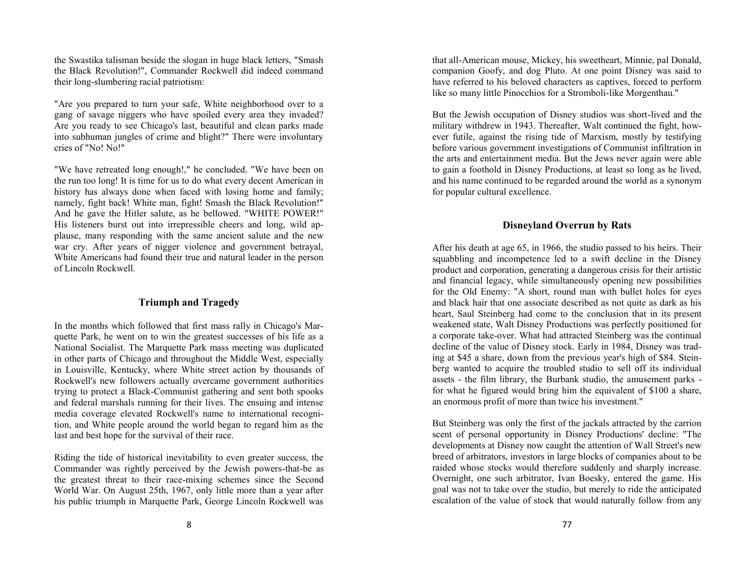the Swastika talisman beside the slogan in huge black letters, "Smash the Black Revolution!", Commander Rockwell did indeed command their long-slumbering racial patriotism:

"Are you prepared to turn your safe, White neighborhood over to a gang of savage niggers who have spoiled every area they invaded? Are you ready to see Chicago's last, beautiful and clean parks made into subhuman jungles of crime and blight?" There were involuntary cries of "No! No!"

"We have retreated long enough!," he concluded. "We have been on the run too long! It is time for us to do what every decent American in history has always done when faced with losing home and family; namely, fight back! White man, fight! Smash the Black Revolution!" And he gave the Hitler salute, as he bellowed. "WHITE POWER!" His listeners burst out into irrepressible cheers and long, wild applause, many responding with the same ancient salute and the new war cry. After years of nigger violence and government betrayal, White Americans had found their true and natural leader in the person of Lincoln Rockwell.

#### **Triumph and Tragedy**

In the months which followed that first mass rally in Chicago's Marquette Park, he went on to win the greatest successes of his life as a National Socialist. The Marquette Park mass meeting was duplicated in other parts of Chicago and throughout the Middle West, especially in Louisville, Kentucky, where White street action by thousands of Rockwell's new followers actually overcame government authorities trying to protect a Black-Communist gathering and sent both spooks and federal marshals running for their lives. The ensuing and intense media coverage elevated Rockwell's name to international recognition, and White people around the world began to regard him as the last and best hope for the survival of their race.

Riding the tide of historical inevitability to even greater success, the Commander was rightly perceived by the Jewish powers-that-be as the greatest threat to their race-mixing schemes since the Second World War. On August 25th, 1967, only little more than a year after his public triumph in Marquette Park, George Lincoln Rockwell was

that all-American mouse, Mickey, his sweetheart, Minnie, pal Donald, companion Goofy, and dog Pluto. At one point Disney was said to have referred to his beloved characters as captives, forced to perform like so many little Pinocchios for a Stromboli-like Morgenthau."

But the Jewish occupation of Disney studios was short-lived and the military withdrew in 1943. Thereafter, Walt continued the fight, however futile, against the rising tide of Marxism, mostly by testifying before various government investigations of Communist infiltration in the arts and entertainment media. But the Jews never again were able to gain a foothold in Disney Productions, at least so long as he lived, and his name continued to be regarded around the world as a synonym for popular cultural excellence.

#### **Disneyland Overrun by Rats**

After his death at age 65, in 1966, the studio passed to his heirs. Their squabbling and incompetence led to a swift decline in the Disney product and corporation, generating a dangerous crisis for their artistic and financial legacy, while simultaneously opening new possibilities for the Old Enemy: "A short, round man with bullet holes for eyes and black hair that one associate described as not quite as dark as his heart, Saul Steinberg had come to the conclusion that in its present weakened state, Walt Disney Productions was perfectly positioned for a corporate take-over. What had attracted Steinberg was the continual decline of the value of Disney stock. Early in 1984, Disney was trading at \$45 a share, down from the previous year's high of \$84. Steinberg wanted to acquire the troubled studio to sell off its individual assets - the film library, the Burbank studio, the amusement parks for what he figured would bring him the equivalent of \$100 a share, an enormous profit of more than twice his investment."

But Steinberg was only the first of the jackals attracted by the carrion scent of personal opportunity in Disney Productions' decline: "The developments at Disney now caught the attention of Wall Street's new breed of arbitrators, investors in large blocks of companies about to be raided whose stocks would therefore suddenly and sharply increase. Overnight, one such arbitrator, Ivan Boesky, entered the game. His goal was not to take over the studio, but merely to ride the anticipated escalation of the value of stock that would naturally follow from any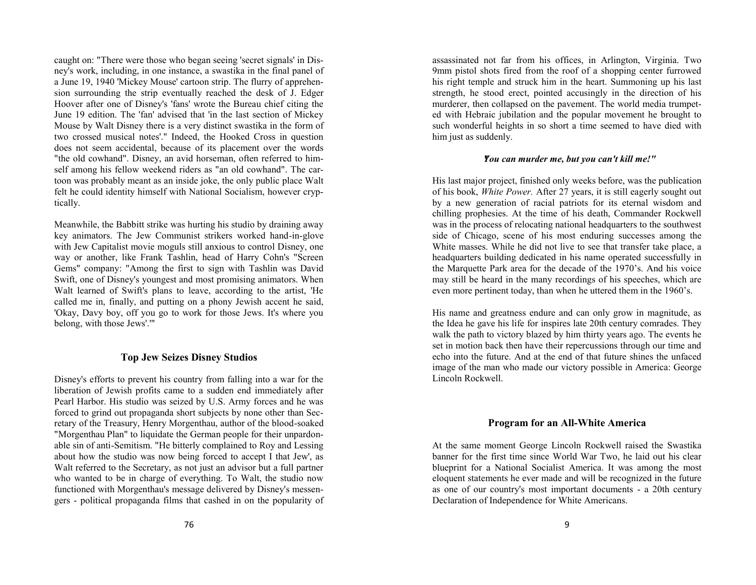caught on: "There were those who began seeing 'secret signals' in Disney's work, including, in one instance, a swastika in the final panel of a June 19, 1940 'Mickey Mouse' cartoon strip. The flurry of apprehension surrounding the strip eventually reached the desk of J. Edger Hoover after one of Disney's 'fans' wrote the Bureau chief citing the June 19 edition. The 'fan' advised that 'in the last section of Mickey Mouse by Walt Disney there is a very distinct swastika in the form of two crossed musical notes'." Indeed, the Hooked Cross in question does not seem accidental, because of its placement over the words "the old cowhand". Disney, an avid horseman, often referred to himself among his fellow weekend riders as "an old cowhand". The cartoon was probably meant as an inside joke, the only public place Walt felt he could identity himself with National Socialism, however cryptically.

Meanwhile, the Babbitt strike was hurting his studio by draining away key animators. The Jew Communist strikers worked hand-in-glove with Jew Capitalist movie moguls still anxious to control Disney, one way or another, like Frank Tashlin, head of Harry Cohn's "Screen Gems" company: "Among the first to sign with Tashlin was David Swift, one of Disney's youngest and most promising animators. When Walt learned of Swift's plans to leave, according to the artist, 'He called me in, finally, and putting on a phony Jewish accent he said, 'Okay, Davy boy, off you go to work for those Jews. It's where you belong, with those Jews'.'"

#### **Top Jew Seizes Disney Studios**

Disney's efforts to prevent his country from falling into a war for the liberation of Jewish profits came to a sudden end immediately after Pearl Harbor. His studio was seized by U.S. Army forces and he was forced to grind out propaganda short subjects by none other than Secretary of the Treasury, Henry Morgenthau, author of the blood-soaked "Morgenthau Plan" to liquidate the German people for their unpardonable sin of anti-Semitism. "He bitterly complained to Roy and Lessing about how the studio was now being forced to accept I that Jew', as Walt referred to the Secretary, as not just an advisor but a full partner who wanted to be in charge of everything. To Walt, the studio now functioned with Morgenthau's message delivered by Disney's messengers - political propaganda films that cashed in on the popularity of assassinated not far from his offices, in Arlington, Virginia. Two 9mm pistol shots fired from the roof of a shopping center furrowed his right temple and struck him in the heart. Summoning up his last strength, he stood erect, pointed accusingly in the direction of his murderer, then collapsed on the pavement. The world media trumpeted with Hebraic jubilation and the popular movement he brought to such wonderful heights in so short a time seemed to have died with him just as suddenly.

#### *"You can murder me, but you can't kill me!"*

His last major project, finished only weeks before, was the publication of his book, *White Power.* After 27 years, it is still eagerly sought out by a new generation of racial patriots for its eternal wisdom and chilling prophesies. At the time of his death, Commander Rockwell was in the process of relocating national headquarters to the southwest side of Chicago, scene of his most enduring successes among the White masses. While he did not live to see that transfer take place, a headquarters building dedicated in his name operated successfully in the Marquette Park area for the decade of the 1970's. And his voice may still be heard in the many recordings of his speeches, which are even more pertinent today, than when he uttered them in the 1960's.

His name and greatness endure and can only grow in magnitude, as the Idea he gave his life for inspires late 20th century comrades. They walk the path to victory blazed by him thirty years ago. The events he set in motion back then have their repercussions through our time and echo into the future. And at the end of that future shines the unfaced image of the man who made our victory possible in America: George Lincoln Rockwell.

#### **Program for an All-White America**

At the same moment George Lincoln Rockwell raised the Swastika banner for the first time since World War Two, he laid out his clear blueprint for a National Socialist America. It was among the most eloquent statements he ever made and will be recognized in the future as one of our country's most important documents - a 20th century Declaration of Independence for White Americans.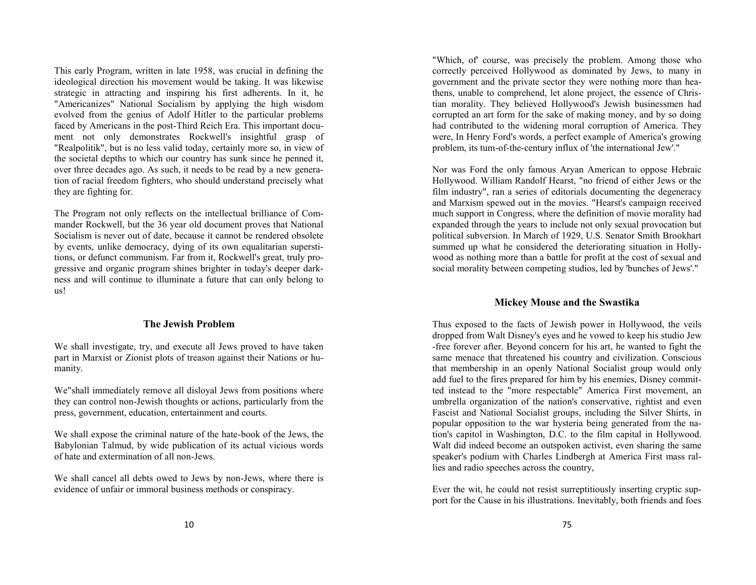This early Program, written in late 1958, was crucial in defining the ideological direction his movement would be taking. It was likewise strategic in attracting and inspiring his first adherents. In it, he "Americanizes" National Socialism by applying the high wisdom evolved from the genius of Adolf Hitler to the particular problems faced by Americans in the post-Third Reich Era. This important document not only demonstrates Rockwell's insightful grasp of "Realpolitik", but is no less valid today, certainly more so, in view of the societal depths to which our country has sunk since he penned it, over three decades ago. As such, it needs to be read by a new generation of racial freedom fighters, who should understand precisely what they are fighting for.

The Program not only reflects on the intellectual brilliance of Commander Rockwell, but the 36 year old document proves that National Socialism is never out of date, because it cannot be rendered obsolete by events, unlike democracy, dying of its own equalitarian superstitions, or defunct communism. Far from it, Rockwell's great, truly progressive and organic program shines brighter in today's deeper darkness and will continue to illuminate a future that can only belong to us!

#### **The Jewish Problem**

We shall investigate, try, and execute all Jews proved to have taken part in Marxist or Zionist plots of treason against their Nations or humanity.

We"shall immediately remove all disloyal Jews from positions where they can control non-Jewish thoughts or actions, particularly from the press, government, education, entertainment and courts.

We shall expose the criminal nature of the hate-book of the Jews, the Babylonian Talmud, by wide publication of its actual vicious words of hate and extermination of all non-Jews.

We shall cancel all debts owed to Jews by non-Jews, where there is evidence of unfair or immoral business methods or conspiracy.

"Which, of' course, was precisely the problem. Among those who correctly perceived Hollywood as dominated by Jews, to many in government and the private sector they were nothing more than heathens, unable to comprehend, let alone project, the essence of Christian morality. They believed Hollywood's Jewish businessmen had corrupted an art form for the sake of making money, and by so doing had contributed to the widening moral corruption of America. They were, In Henry Ford's words, a perfect example of America's growing problem, its tum-of-the-century influx of 'the international Jew'."

Nor was Ford the only famous Aryan American to oppose Hebraic Hollywood. William Randolf Hearst, "no friend of either Jews or the film industry", ran a series of editorials documenting the degeneracy and Marxism spewed out in the movies. "Hearst's campaign received much support in Congress, where the definition of movie morality had expanded through the years to include not only sexual provocation but political subversion. In March of 1929, U.S. Senator Smith Brookhart summed up what he considered the deteriorating situation in Hollywood as nothing more than a battle for profit at the cost of sexual and social morality between competing studios, led by 'bunches of Jews'."

#### **Mickey Mouse and the Swastika**

Thus exposed to the facts of Jewish power in Hollywood, the veils dropped from Walt Disney's eyes and he vowed to keep his studio Jew -free forever after. Beyond concern for his art, he wanted to fight the same menace that threatened his country and civilization. Conscious that membership in an openly National Socialist group would only add fuel to the fires prepared for him by his enemies, Disney committed instead to the "more respectable" America First movement, an umbrella organization of the nation's conservative, rightist and even Fascist and National Socialist groups, including the Silver Shirts, in popular opposition to the war hysteria being generated from the nation's capitol in Washington, D.C. to the film capital in Hollywood. Walt did indeed become an outspoken activist, even sharing the same speaker's podium with Charles Lindbergh at America First mass rallies and radio speeches across the country,

Ever the wit, he could not resist surreptitiously inserting cryptic support for the Cause in his illustrations. Inevitably, both friends and foes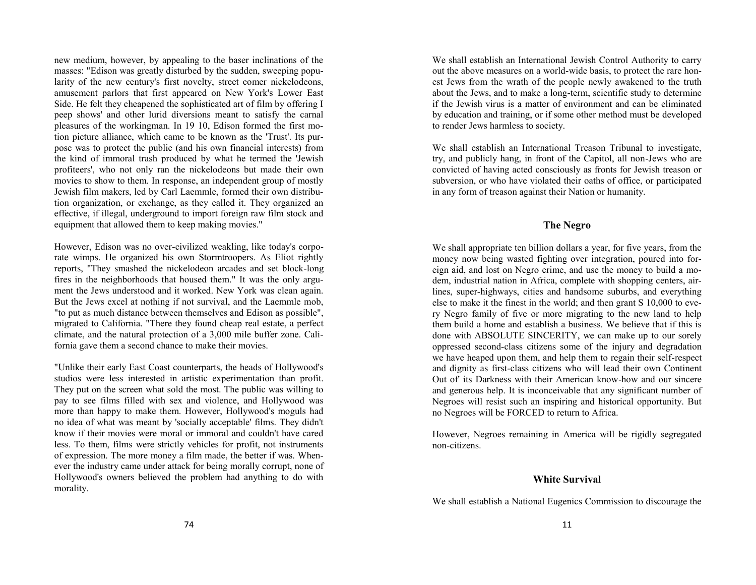new medium, however, by appealing to the baser inclinations of the masses: "Edison was greatly disturbed by the sudden, sweeping popularity of the new century's first novelty, street comer nickelodeons, amusement parlors that first appeared on New York's Lower East Side. He felt they cheapened the sophisticated art of film by offering I peep shows' and other lurid diversions meant to satisfy the carnal pleasures of the workingman. In 19 10, Edison formed the first motion picture alliance, which came to be known as the 'Trust'. Its purpose was to protect the public (and his own financial interests) from the kind of immoral trash produced by what he termed the 'Jewish profiteers', who not only ran the nickelodeons but made their own movies to show to them. In response, an independent group of mostly Jewish film makers, led by Carl Laemmle, formed their own distribution organization, or exchange, as they called it. They organized an effective, if illegal, underground to import foreign raw film stock and equipment that allowed them to keep making movies."

However, Edison was no over-civilized weakling, like today's corporate wimps. He organized his own Stormtroopers. As Eliot rightly reports, "They smashed the nickelodeon arcades and set block-long fires in the neighborhoods that housed them." It was the only argument the Jews understood and it worked. New York was clean again. But the Jews excel at nothing if not survival, and the Laemmle mob, "to put as much distance between themselves and Edison as possible", migrated to California. "There they found cheap real estate, a perfect climate, and the natural protection of a 3,000 mile buffer zone. California gave them a second chance to make their movies.

"Unlike their early East Coast counterparts, the heads of Hollywood's studios were less interested in artistic experimentation than profit. They put on the screen what sold the most. The public was willing to pay to see films filled with sex and violence, and Hollywood was more than happy to make them. However, Hollywood's moguls had no idea of what was meant by 'socially acceptable' films. They didn't know if their movies were moral or immoral and couldn't have cared less. To them, films were strictly vehicles for profit, not instruments of expression. The more money a film made, the better if was. Whenever the industry came under attack for being morally corrupt, none of Hollywood's owners believed the problem had anything to do with morality.

We shall establish an International Jewish Control Authority to carry out the above measures on a world-wide basis, to protect the rare honest Jews from the wrath of the people newly awakened to the truth about the Jews, and to make a long-term, scientific study to determine if the Jewish virus is a matter of environment and can be eliminated by education and training, or if some other method must be developed to render Jews harmless to society.

We shall establish an International Treason Tribunal to investigate, try, and publicly hang, in front of the Capitol, all non-Jews who are convicted of having acted consciously as fronts for Jewish treason or subversion, or who have violated their oaths of office, or participated in any form of treason against their Nation or humanity.

#### **The Negro**

We shall appropriate ten billion dollars a year, for five years, from the money now being wasted fighting over integration, poured into foreign aid, and lost on Negro crime, and use the money to build a modem, industrial nation in Africa, complete with shopping centers, airlines, super-highways, cities and handsome suburbs, and everything else to make it the finest in the world; and then grant S 10,000 to every Negro family of five or more migrating to the new land to help them build a home and establish a business. We believe that if this is done with ABSOLUTE SINCERITY, we can make up to our sorely oppressed second-class citizens some of the injury and degradation we have heaped upon them, and help them to regain their self-respect and dignity as first-class citizens who will lead their own Continent Out of' its Darkness with their American know-how and our sincere and generous help. It is inconceivable that any significant number of Negroes will resist such an inspiring and historical opportunity. But no Negroes will be FORCED to return to Africa.

However, Negroes remaining in America will be rigidly segregated non-citizens.

#### **White Survival**

We shall establish a National Eugenics Commission to discourage the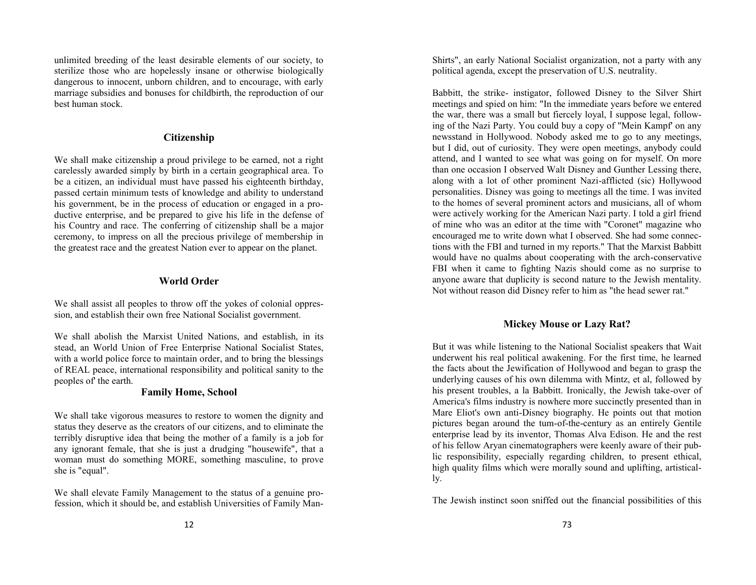unlimited breeding of the least desirable elements of our society, to sterilize those who are hopelessly insane or otherwise biologically dangerous to innocent, unborn children, and to encourage, with early marriage subsidies and bonuses for childbirth, the reproduction of our best human stock.

#### **Citizenship**

We shall make citizenship a proud privilege to be earned, not a right carelessly awarded simply by birth in a certain geographical area. To be a citizen, an individual must have passed his eighteenth birthday, passed certain minimum tests of knowledge and ability to understand his government, be in the process of education or engaged in a productive enterprise, and be prepared to give his life in the defense of his Country and race. The conferring of citizenship shall be a major ceremony, to impress on all the precious privilege of membership in the greatest race and the greatest Nation ever to appear on the planet.

#### **World Order**

We shall assist all peoples to throw off the yokes of colonial oppression, and establish their own free National Socialist government.

We shall abolish the Marxist United Nations, and establish, in its stead, an World Union of Free Enterprise National Socialist States, with a world police force to maintain order, and to bring the blessings of REAL peace, international responsibility and political sanity to the peoples of' the earth.

#### **Family Home, School**

We shall take vigorous measures to restore to women the dignity and status they deserve as the creators of our citizens, and to eliminate the terribly disruptive idea that being the mother of a family is a job for any ignorant female, that she is just a drudging "housewife", that a woman must do something MORE, something masculine, to prove she is "equal".

We shall elevate Family Management to the status of a genuine profession, which it should be, and establish Universities of Family ManShirts", an early National Socialist organization, not a party with any political agenda, except the preservation of U.S. neutrality.

Babbitt, the strike- instigator, followed Disney to the Silver Shirt meetings and spied on him: "In the immediate years before we entered the war, there was a small but fiercely loyal, I suppose legal, following of the Nazi Party. You could buy a copy of "Mein Kampf' on any newsstand in Hollywood. Nobody asked me to go to any meetings, but I did, out of curiosity. They were open meetings, anybody could attend, and I wanted to see what was going on for myself. On more than one occasion I observed Walt Disney and Gunther Lessing there, along with a lot of other prominent Nazi-afflicted (sic) Hollywood personalities. Disney was going to meetings all the time. I was invited to the homes of several prominent actors and musicians, all of whom were actively working for the American Nazi party. I told a girl friend of mine who was an editor at the time with "Coronet" magazine who encouraged me to write down what I observed. She had some connections with the FBI and turned in my reports." That the Marxist Babbitt would have no qualms about cooperating with the arch-conservative FBI when it came to fighting Nazis should come as no surprise to anyone aware that duplicity is second nature to the Jewish mentality. Not without reason did Disney refer to him as "the head sewer rat."

#### **Mickey Mouse or Lazy Rat?**

But it was while listening to the National Socialist speakers that Wait underwent his real political awakening. For the first time, he learned the facts about the Jewification of Hollywood and began to grasp the underlying causes of his own dilemma with Mintz, et al, followed by his present troubles, a la Babbitt. Ironically, the Jewish take-over of America's films industry is nowhere more succinctly presented than in Mare Eliot's own anti-Disney biography. He points out that motion pictures began around the tum-of-the-century as an entirely Gentile enterprise lead by its inventor, Thomas Alva Edison. He and the rest of his fellow Aryan cinematographers were keenly aware of their public responsibility, especially regarding children, to present ethical, high quality films which were morally sound and uplifting, artistically.

The Jewish instinct soon sniffed out the financial possibilities of this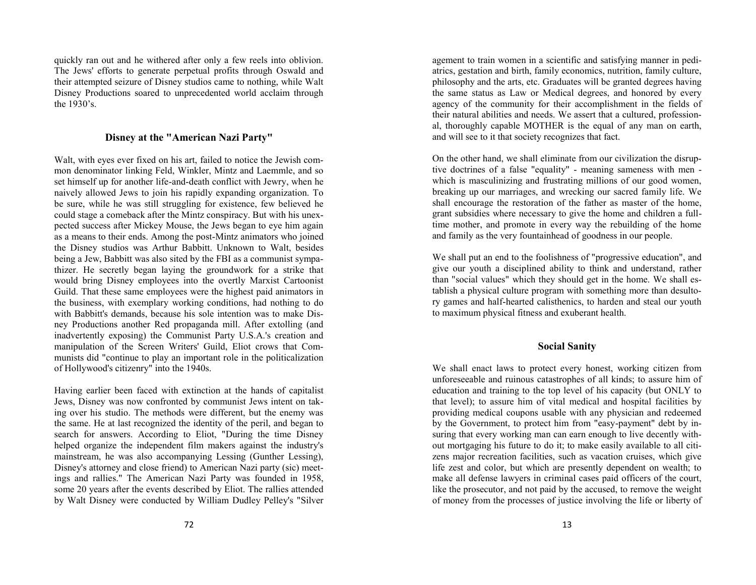quickly ran out and he withered after only a few reels into oblivion. The Jews' efforts to generate perpetual profits through Oswald and their attempted seizure of Disney studios came to nothing, while Walt Disney Productions soared to unprecedented world acclaim through the 1930's.

#### **Disney at the "American Nazi Party"**

Walt, with eyes ever fixed on his art, failed to notice the Jewish common denominator linking Feld, Winkler, Mintz and Laemmle, and so set himself up for another life-and-death conflict with Jewry, when he naively allowed Jews to join his rapidly expanding organization. To be sure, while he was still struggling for existence, few believed he could stage a comeback after the Mintz conspiracy. But with his unexpected success after Mickey Mouse, the Jews began to eye him again as a means to their ends. Among the post-Mintz animators who joined the Disney studios was Arthur Babbitt. Unknown to Walt, besides being a Jew, Babbitt was also sited by the FBI as a communist sympathizer. He secretly began laying the groundwork for a strike that would bring Disney employees into the overtly Marxist Cartoonist Guild. That these same employees were the highest paid animators in the business, with exemplary working conditions, had nothing to do with Babbitt's demands, because his sole intention was to make Disney Productions another Red propaganda mill. After extolling (and inadvertently exposing) the Communist Party U.S.A.'s creation and manipulation of the Screen Writers' Guild, Eliot crows that Communists did "continue to play an important role in the politicalization of Hollywood's citizenry" into the 1940s.

Having earlier been faced with extinction at the hands of capitalist Jews, Disney was now confronted by communist Jews intent on taking over his studio. The methods were different, but the enemy was the same. He at last recognized the identity of the peril, and began to search for answers. According to Eliot, "During the time Disney helped organize the independent film makers against the industry's mainstream, he was also accompanying Lessing (Gunther Lessing), Disney's attorney and close friend) to American Nazi party (sic) meetings and rallies." The American Nazi Party was founded in 1958, some 20 years after the events described by Eliot. The rallies attended by Walt Disney were conducted by William Dudley Pelley's "Silver

agement to train women in a scientific and satisfying manner in pediatrics, gestation and birth, family economics, nutrition, family culture, philosophy and the arts, etc. Graduates will be granted degrees having the same status as Law or Medical degrees, and honored by every agency of the community for their accomplishment in the fields of their natural abilities and needs. We assert that a cultured, professional, thoroughly capable MOTHER is the equal of any man on earth, and will see to it that society recognizes that fact.

On the other hand, we shall eliminate from our civilization the disruptive doctrines of a false "equality" - meaning sameness with men which is masculinizing and frustrating millions of our good women, breaking up our marriages, and wrecking our sacred family life. We shall encourage the restoration of the father as master of the home, grant subsidies where necessary to give the home and children a fulltime mother, and promote in every way the rebuilding of the home and family as the very fountainhead of goodness in our people.

We shall put an end to the foolishness of "progressive education", and give our youth a disciplined ability to think and understand, rather than "social values" which they should get in the home. We shall establish a physical culture program with something more than desultory games and half-hearted calisthenics, to harden and steal our youth to maximum physical fitness and exuberant health.

#### **Social Sanity**

We shall enact laws to protect every honest, working citizen from unforeseeable and ruinous catastrophes of all kinds; to assure him of education and training to the top level of his capacity (but ONLY to that level); to assure him of vital medical and hospital facilities by providing medical coupons usable with any physician and redeemed by the Government, to protect him from "easy-payment" debt by insuring that every working man can earn enough to live decently without mortgaging his future to do it; to make easily available to all citizens major recreation facilities, such as vacation cruises, which give life zest and color, but which are presently dependent on wealth; to make all defense lawyers in criminal cases paid officers of the court, like the prosecutor, and not paid by the accused, to remove the weight of money from the processes of justice involving the life or liberty of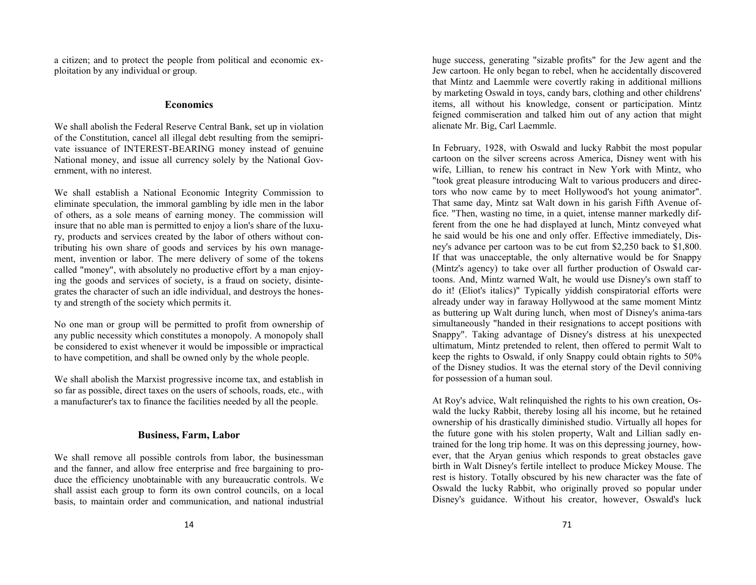a citizen; and to protect the people from political and economic exploitation by any individual or group.

#### **Economics**

We shall abolish the Federal Reserve Central Bank, set up in violation of the Constitution, cancel all illegal debt resulting from the semiprivate issuance of INTEREST-BEARING money instead of genuine National money, and issue all currency solely by the National Government, with no interest.

We shall establish a National Economic Integrity Commission to eliminate speculation, the immoral gambling by idle men in the labor of others, as a sole means of earning money. The commission will insure that no able man is permitted to enjoy a lion's share of the luxury, products and services created by the labor of others without contributing his own share of goods and services by his own management, invention or labor. The mere delivery of some of the tokens called "money", with absolutely no productive effort by a man enjoying the goods and services of society, is a fraud on society, disintegrates the character of such an idle individual, and destroys the honesty and strength of the society which permits it.

No one man or group will be permitted to profit from ownership of any public necessity which constitutes a monopoly. A monopoly shall be considered to exist whenever it would be impossible or impractical to have competition, and shall be owned only by the whole people.

We shall abolish the Marxist progressive income tax, and establish in so far as possible, direct taxes on the users of schools, roads, etc., with a manufacturer's tax to finance the facilities needed by all the people.

#### **Business, Farm, Labor**

We shall remove all possible controls from labor, the businessman and the fanner, and allow free enterprise and free bargaining to produce the efficiency unobtainable with any bureaucratic controls. We shall assist each group to form its own control councils, on a local basis, to maintain order and communication, and national industrial

huge success, generating "sizable profits" for the Jew agent and the Jew cartoon. He only began to rebel, when he accidentally discovered that Mintz and Laemmle were covertly raking in additional millions by marketing Oswald in toys, candy bars, clothing and other childrens' items, all without his knowledge, consent or participation. Mintz feigned commiseration and talked him out of any action that might alienate Mr. Big, Carl Laemmle.

In February, 1928, with Oswald and lucky Rabbit the most popular cartoon on the silver screens across America, Disney went with his wife, Lillian, to renew his contract in New York with Mintz, who "took great pleasure introducing Walt to various producers and directors who now came by to meet Hollywood's hot young animator". That same day, Mintz sat Walt down in his garish Fifth Avenue office. "Then, wasting no time, in a quiet, intense manner markedly different from the one he had displayed at lunch, Mintz conveyed what he said would be his one and only offer. Effective immediately, Disney's advance per cartoon was to be cut from \$2,250 back to \$1,800. If that was unacceptable, the only alternative would be for Snappy (Mintz's agency) to take over all further production of Oswald cartoons. And, Mintz warned Walt, he would use Disney's own staff to do it! (Eliot's italics)" Typically yiddish conspiratorial efforts were already under way in faraway Hollywood at the same moment Mintz as buttering up Walt during lunch, when most of Disney's anima-tars simultaneously "handed in their resignations to accept positions with Snappy". Taking advantage of Disney's distress at his unexpected ultimatum, Mintz pretended to relent, then offered to permit Walt to keep the rights to Oswald, if only Snappy could obtain rights to 50% of the Disney studios. It was the eternal story of the Devil conniving for possession of a human soul.

At Roy's advice, Walt relinquished the rights to his own creation, Oswald the lucky Rabbit, thereby losing all his income, but he retained ownership of his drastically diminished studio. Virtually all hopes for the future gone with his stolen property, Walt and Lillian sadly entrained for the long trip home. It was on this depressing journey, however, that the Aryan genius which responds to great obstacles gave birth in Walt Disney's fertile intellect to produce Mickey Mouse. The rest is history. Totally obscured by his new character was the fate of Oswald the lucky Rabbit, who originally proved so popular under Disney's guidance. Without his creator, however, Oswald's luck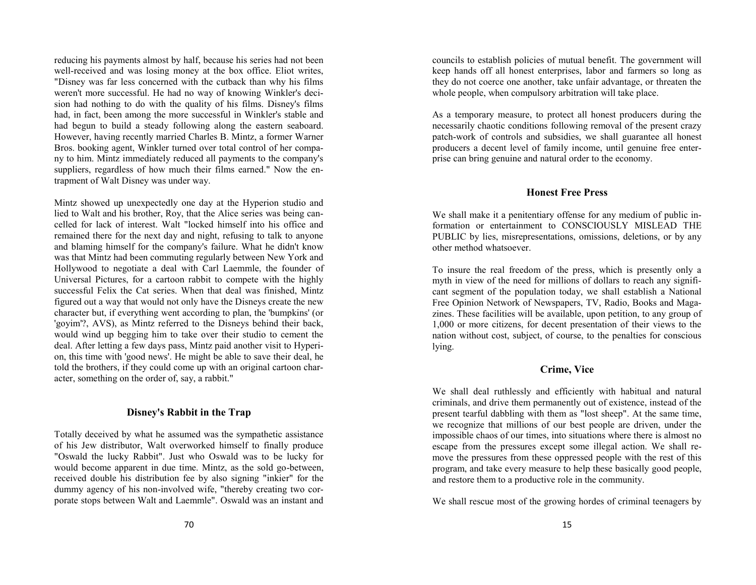reducing his payments almost by half, because his series had not been well-received and was losing money at the box office. Eliot writes, "Disney was far less concerned with the cutback than why his films weren't more successful. He had no way of knowing Winkler's decision had nothing to do with the quality of his films. Disney's films had, in fact, been among the more successful in Winkler's stable and had begun to build a steady following along the eastern seaboard. However, having recently married Charles B. Mintz, a former Warner Bros. booking agent, Winkler turned over total control of her company to him. Mintz immediately reduced all payments to the company's suppliers, regardless of how much their films earned." Now the entrapment of Walt Disney was under way.

Mintz showed up unexpectedly one day at the Hyperion studio and lied to Walt and his brother, Roy, that the Alice series was being cancelled for lack of interest. Walt "locked himself into his office and remained there for the next day and night, refusing to talk to anyone and blaming himself for the company's failure. What he didn't know was that Mintz had been commuting regularly between New York and Hollywood to negotiate a deal with Carl Laemmle, the founder of Universal Pictures, for a cartoon rabbit to compete with the highly successful Felix the Cat series. When that deal was finished, Mintz figured out a way that would not only have the Disneys create the new character but, if everything went according to plan, the 'bumpkins' (or 'goyim'?, AVS), as Mintz referred to the Disneys behind their back, would wind up begging him to take over their studio to cement the deal. After letting a few days pass, Mintz paid another visit to Hyperion, this time with 'good news'. He might be able to save their deal, he told the brothers, if they could come up with an original cartoon character, something on the order of, say, a rabbit."

#### **Disney's Rabbit in the Trap**

Totally deceived by what he assumed was the sympathetic assistance of his Jew distributor, Walt overworked himself to finally produce "Oswald the lucky Rabbit". Just who Oswald was to be lucky for would become apparent in due time. Mintz, as the sold go-between, received double his distribution fee by also signing "inkier" for the dummy agency of his non-involved wife, "thereby creating two corporate stops between Walt and Laemmle". Oswald was an instant and councils to establish policies of mutual benefit. The government will keep hands off all honest enterprises, labor and farmers so long as they do not coerce one another, take unfair advantage, or threaten the whole people, when compulsory arbitration will take place.

As a temporary measure, to protect all honest producers during the necessarily chaotic conditions following removal of the present crazy patch-work of controls and subsidies, we shall guarantee all honest producers a decent level of family income, until genuine free enterprise can bring genuine and natural order to the economy.

#### **Honest Free Press**

We shall make it a penitentiary offense for any medium of public information or entertainment to CONSCIOUSLY MISLEAD THE PUBLIC by lies, misrepresentations, omissions, deletions, or by any other method whatsoever.

To insure the real freedom of the press, which is presently only a myth in view of the need for millions of dollars to reach any significant segment of the population today, we shall establish a National Free Opinion Network of Newspapers, TV, Radio, Books and Magazines. These facilities will be available, upon petition, to any group of 1,000 or more citizens, for decent presentation of their views to the nation without cost, subject, of course, to the penalties for conscious lying.

#### **Crime, Vice**

We shall deal ruthlessly and efficiently with habitual and natural criminals, and drive them permanently out of existence, instead of the present tearful dabbling with them as "lost sheep". At the same time, we recognize that millions of our best people are driven, under the impossible chaos of our times, into situations where there is almost no escape from the pressures except some illegal action. We shall remove the pressures from these oppressed people with the rest of this program, and take every measure to help these basically good people, and restore them to a productive role in the community.

We shall rescue most of the growing hordes of criminal teenagers by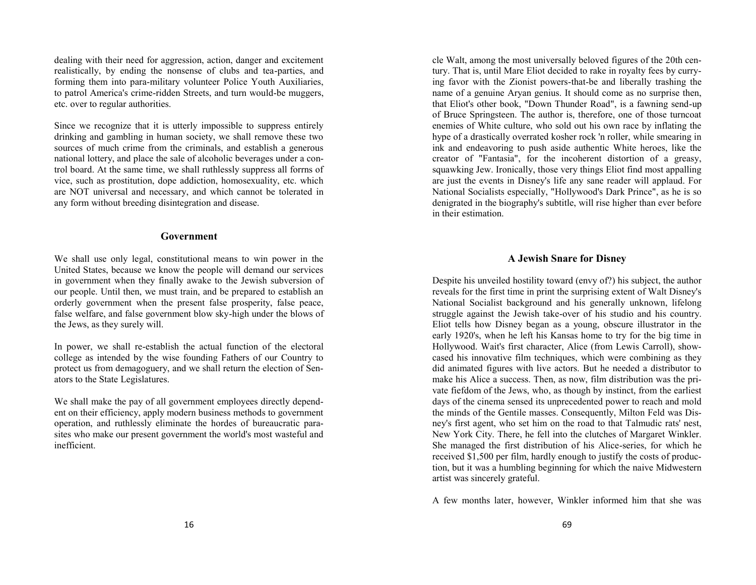dealing with their need for aggression, action, danger and excitement realistically, by ending the nonsense of clubs and tea-parties, and forming them into para-military volunteer Police Youth Auxiliaries, to patrol America's crime-ridden Streets, and turn would-be muggers, etc. over to regular authorities.

Since we recognize that it is utterly impossible to suppress entirely drinking and gambling in human society, we shall remove these two sources of much crime from the criminals, and establish a generous national lottery, and place the sale of alcoholic beverages under a control board. At the same time, we shall ruthlessly suppress all forrns of vice, such as prostitution, dope addiction, homosexuality, etc. which are NOT universal and necessary, and which cannot be tolerated in any form without breeding disintegration and disease.

#### **Government**

We shall use only legal, constitutional means to win power in the United States, because we know the people will demand our services in government when they finally awake to the Jewish subversion of our people. Until then, we must train, and be prepared to establish an orderly government when the present false prosperity, false peace, false welfare, and false government blow sky-high under the blows of the Jews, as they surely will.

In power, we shall re-establish the actual function of the electoral college as intended by the wise founding Fathers of our Country to protect us from demagoguery, and we shall return the election of Senators to the State Legislatures.

We shall make the pay of all government employees directly dependent on their efficiency, apply modern business methods to government operation, and ruthlessly eliminate the hordes of bureaucratic parasites who make our present government the world's most wasteful and inefficient.

cle Walt, among the most universally beloved figures of the 20th century. That is, until Mare Eliot decided to rake in royalty fees by currying favor with the Zionist powers-that-be and liberally trashing the name of a genuine Aryan genius. It should come as no surprise then, that Eliot's other book, "Down Thunder Road", is a fawning send-up of Bruce Springsteen. The author is, therefore, one of those turncoat enemies of White culture, who sold out his own race by inflating the hype of a drastically overrated kosher rock 'n roller, while smearing in ink and endeavoring to push aside authentic White heroes, like the creator of "Fantasia", for the incoherent distortion of a greasy, squawking Jew. Ironically, those very things Eliot find most appalling are just the events in Disney's life any sane reader will applaud. For National Socialists especially, "Hollywood's Dark Prince", as he is so denigrated in the biography's subtitle, will rise higher than ever before in their estimation.

#### **A Jewish Snare for Disney**

Despite his unveiled hostility toward (envy of?) his subject, the author reveals for the first time in print the surprising extent of Walt Disney's National Socialist background and his generally unknown, lifelong struggle against the Jewish take-over of his studio and his country. Eliot tells how Disney began as a young, obscure illustrator in the early 1920's, when he left his Kansas home to try for the big time in Hollywood. Wait's first character, Alice (from Lewis Carroll), showcased his innovative film techniques, which were combining as they did animated figures with live actors. But he needed a distributor to make his Alice a success. Then, as now, film distribution was the private fiefdom of the Jews, who, as though by instinct, from the earliest days of the cinema sensed its unprecedented power to reach and mold the minds of the Gentile masses. Consequently, Milton Feld was Disney's first agent, who set him on the road to that Talmudic rats' nest, New York City. There, he fell into the clutches of Margaret Winkler. She managed the first distribution of his Alice-series, for which he received \$1,500 per film, hardly enough to justify the costs of production, but it was a humbling beginning for which the naive Midwestern artist was sincerely grateful.

A few months later, however, Winkler informed him that she was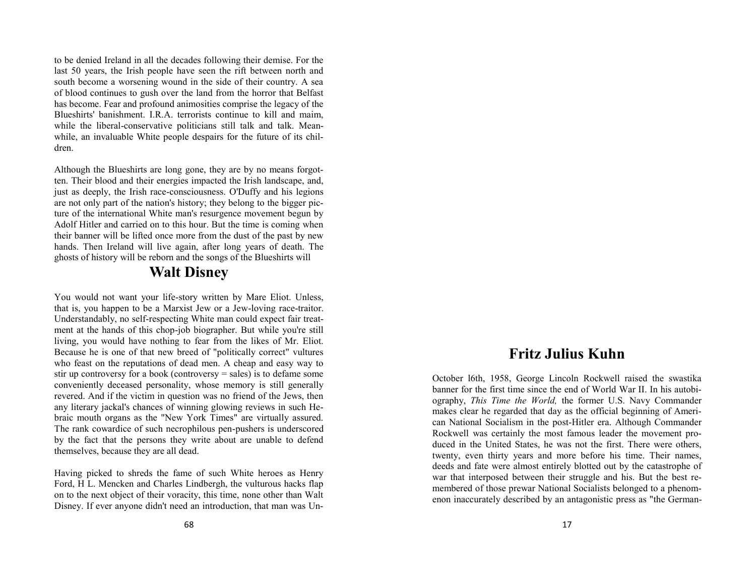to be denied Ireland in all the decades following their demise. For the last 50 years, the Irish people have seen the rift between north and south become a worsening wound in the side of their country. A sea of blood continues to gush over the land from the horror that Belfast has become. Fear and profound animosities comprise the legacy of the Blueshirts' banishment. I.R.A. terrorists continue to kill and maim, while the liberal-conservative politicians still talk and talk. Meanwhile, an invaluable White people despairs for the future of its children.

Although the Blueshirts are long gone, they are by no means forgotten. Their blood and their energies impacted the Irish landscape, and, just as deeply, the Irish race-consciousness. O'Duffy and his legions are not only part of the nation's history; they belong to the bigger picture of the international White man's resurgence movement begun by Adolf Hitler and carried on to this hour. But the time is coming when their banner will be lifted once more from the dust of the past by new hands. Then Ireland will live again, after long years of death. The ghosts of history will be reborn and the songs of the Blueshirts will

## **Walt Disney**

You would not want your life-story written by Mare Eliot. Unless, that is, you happen to be a Marxist Jew or a Jew-loving race-traitor. Understandably, no self-respecting White man could expect fair treatment at the hands of this chop-job biographer. But while you're still living, you would have nothing to fear from the likes of Mr. Eliot. Because he is one of that new breed of "politically correct" vultures who feast on the reputations of dead men. A cheap and easy way to stir up controversy for a book (controversy  $=$  sales) is to defame some conveniently deceased personality, whose memory is still generally revered. And if the victim in question was no friend of the Jews, then any literary jackal's chances of winning glowing reviews in such Hebraic mouth organs as the "New York Times" are virtually assured. The rank cowardice of such necrophilous pen-pushers is underscored by the fact that the persons they write about are unable to defend themselves, because they are all dead.

Having picked to shreds the fame of such White heroes as Henry Ford, H L. Mencken and Charles Lindbergh, the vulturous hacks flap on to the next object of their voracity, this time, none other than Walt Disney. If ever anyone didn't need an introduction, that man was Un-

## **Fritz Julius Kuhn**

October l6th, 1958, George Lincoln Rockwell raised the swastika banner for the first time since the end of World War II. In his autobiography, *This Time the World,* the former U.S. Navy Commander makes clear he regarded that day as the official beginning of American National Socialism in the post-Hitler era. Although Commander Rockwell was certainly the most famous leader the movement produced in the United States, he was not the first. There were others, twenty, even thirty years and more before his time. Their names, deeds and fate were almost entirely blotted out by the catastrophe of war that interposed between their struggle and his. But the best remembered of those prewar National Socialists belonged to a phenomenon inaccurately described by an antagonistic press as "the German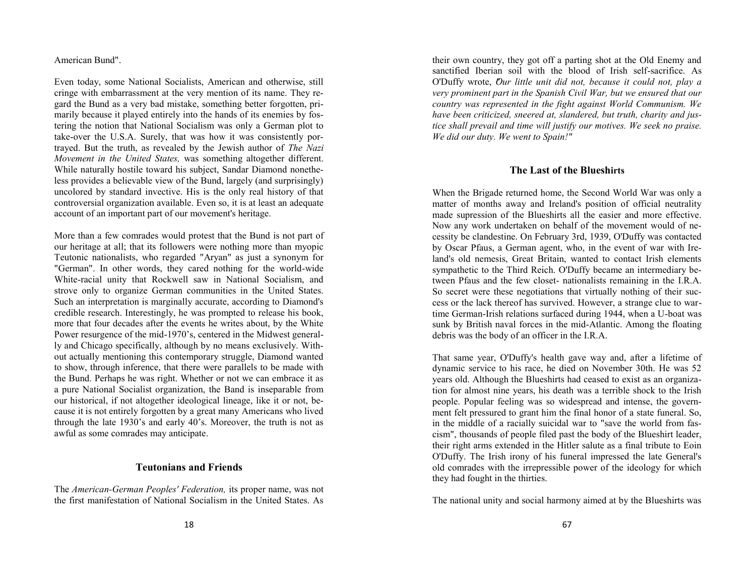American Bund".

Even today, some National Socialists, American and otherwise, still cringe with embarrassment at the very mention of its name. They regard the Bund as a very bad mistake, something better forgotten, primarily because it played entirely into the hands of its enemies by fostering the notion that National Socialism was only a German plot to take-over the U.S.A. Surely, that was how it was consistently portrayed. But the truth, as revealed by the Jewish author of *The Nazi Movement in the United States,* was something altogether different. While naturally hostile toward his subject, Sandar Diamond nonetheless provides a believable view of the Bund, largely (and surprisingly) uncolored by standard invective. His is the only real history of that controversial organization available. Even so, it is at least an adequate account of an important part of our movement's heritage.

More than a few comrades would protest that the Bund is not part of our heritage at all; that its followers were nothing more than myopic Teutonic nationalists, who regarded "Aryan" as just a synonym for "German". In other words, they cared nothing for the world-wide White-racial unity that Rockwell saw in National Socialism, and strove only to organize German communities in the United States. Such an interpretation is marginally accurate, according to Diamond's credible research. Interestingly, he was prompted to release his book, more that four decades after the events he writes about, by the White Power resurgence of the mid-1970's, centered in the Midwest generally and Chicago specifically, although by no means exclusively. Without actually mentioning this contemporary struggle, Diamond wanted to show, through inference, that there were parallels to be made with the Bund. Perhaps he was right. Whether or not we can embrace it as a pure National Socialist organization, the Band is inseparable from our historical, if not altogether ideological lineage, like it or not, because it is not entirely forgotten by a great many Americans who lived through the late 1930's and early 40's. Moreover, the truth is not as awful as some comrades may anticipate.

#### **Teutonians and Friends**

The *American-German Peoples' Federation,* its proper name, was not the first manifestation of National Socialism in the United States. As their own country, they got off a parting shot at the Old Enemy and sanctified Iberian soil with the blood of Irish self-sacrifice. As O'Duffy wrote, *"Our little unit did not, because it could not, play a very prominent part in the Spanish Civil War, but we ensured that our country was represented in the fight against World Communism. We have been criticized, sneered at, slandered, but truth, charity and justice shall prevail and time will justify our motives. We seek no praise. We did our duty. We went to Spain!"*

#### **The Last of the Blueshirts**

When the Brigade returned home, the Second World War was only a matter of months away and Ireland's position of official neutrality made supression of the Blueshirts all the easier and more effective. Now any work undertaken on behalf of the movement would of necessity be clandestine. On February 3rd, 1939, O'Duffy was contacted by Oscar Pfaus, a German agent, who, in the event of war with Ireland's old nemesis, Great Britain, wanted to contact Irish elements sympathetic to the Third Reich. O'Duffy became an intermediary between Pfaus and the few closet- nationalists remaining in the I.R.A. So secret were these negotiations that virtually nothing of their success or the lack thereof has survived. However, a strange clue to wartime German-Irish relations surfaced during 1944, when a U-boat was sunk by British naval forces in the mid-Atlantic. Among the floating debris was the body of an officer in the I.R.A.

That same year, O'Duffy's health gave way and, after a lifetime of dynamic service to his race, he died on November 30th. He was 52 years old. Although the Blueshirts had ceased to exist as an organization for almost nine years, his death was a terrible shock to the Irish people. Popular feeling was so widespread and intense, the government felt pressured to grant him the final honor of a state funeral. So, in the middle of a racially suicidal war to "save the world from fascism", thousands of people filed past the body of the Blueshirt leader, their right arms extended in the Hitler salute as a final tribute to Eoin O'Duffy. The Irish irony of his funeral impressed the late General's old comrades with the irrepressible power of the ideology for which they had fought in the thirties.

The national unity and social harmony aimed at by the Blueshirts was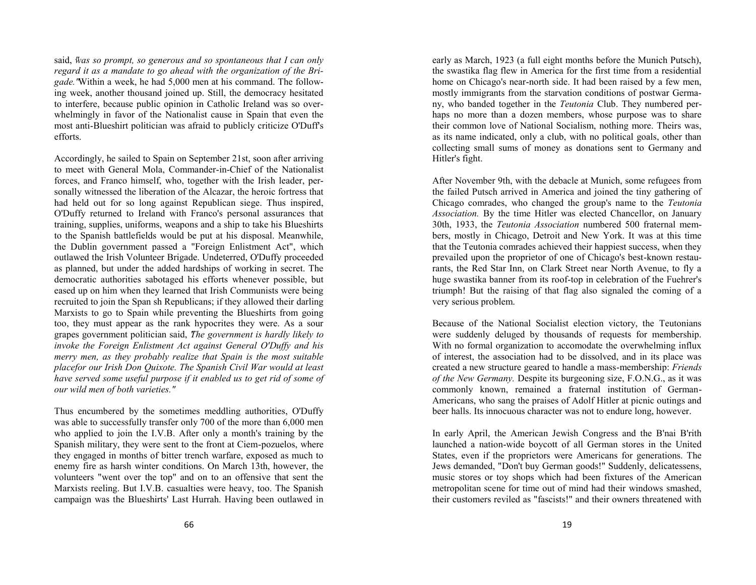said, *Was so prompt, so generous and so spontaneous that I can only regard it as a mandate to go ahead with the organization of the Brigade."* Within a week, he had 5,000 men at his command. The following week, another thousand joined up. Still, the democracy hesitated to interfere, because public opinion in Catholic Ireland was so overwhelmingly in favor of the Nationalist cause in Spain that even the most anti-Blueshirt politician was afraid to publicly criticize O'Duff's efforts.

Accordingly, he sailed to Spain on September 21st, soon after arriving to meet with General Mola, Commander-in-Chief of the Nationalist forces, and Franco himself, who, together with the Irish leader, personally witnessed the liberation of the Alcazar, the heroic fortress that had held out for so long against Republican siege. Thus inspired, O'Duffy returned to Ireland with Franco's personal assurances that training, supplies, uniforms, weapons and a ship to take his Blueshirts to the Spanish battlefields would be put at his disposal. Meanwhile, the Dublin government passed a "Foreign Enlistment Act", which outlawed the Irish Volunteer Brigade. Undeterred, O'Duffy proceeded as planned, but under the added hardships of working in secret. The democratic authorities sabotaged his efforts whenever possible, but eased up on him when they learned that Irish Communists were being recruited to join the Span sh Republicans; if they allowed their darling Marxists to go to Spain while preventing the Blueshirts from going too, they must appear as the rank hypocrites they were. As a sour grapes government politician said, *"The government is hardly likely to invoke the Foreign Enlistment Act against General O'Duffy and his merry men, as they probably realize that Spain is the most suitable placefor our Irish Don Quixote. The Spanish Civil War would at least have served some useful purpose if it enabled us to get rid of some of our wild men of both varieties."*

Thus encumbered by the sometimes meddling authorities, O'Duffy was able to successfully transfer only 700 of the more than 6,000 men who applied to join the I.V.B. After only a month's training by the Spanish military, they were sent to the front at Ciem-pozuelos, where they engaged in months of bitter trench warfare, exposed as much to enemy fire as harsh winter conditions. On March 13th, however, the volunteers "went over the top" and on to an offensive that sent the Marxists reeling. But I.V.B. casualties were heavy, too. The Spanish campaign was the Blueshirts' Last Hurrah. Having been outlawed in

early as March, 1923 (a full eight months before the Munich Putsch), the swastika flag flew in America for the first time from a residential home on Chicago's near-north side. It had been raised by a few men, mostly immigrants from the starvation conditions of postwar Germany, who banded together in the *Teutonia* Club. They numbered perhaps no more than a dozen members, whose purpose was to share their common love of National Socialism, nothing more. Theirs was, as its name indicated, only a club, with no political goals, other than collecting small sums of money as donations sent to Germany and Hitler's fight.

After November 9th, with the debacle at Munich, some refugees from the failed Putsch arrived in America and joined the tiny gathering of Chicago comrades, who changed the group's name to the *Teutonia Association.* By the time Hitler was elected Chancellor, on January 30th, 1933, the *Teutonia Association* numbered 500 fraternal members, mostly in Chicago, Detroit and New York. It was at this time that the Teutonia comrades achieved their happiest success, when they prevailed upon the proprietor of one of Chicago's best-known restaurants, the Red Star Inn, on Clark Street near North Avenue, to fly a huge swastika banner from its roof-top in celebration of the Fuehrer's triumph! But the raising of that flag also signaled the coming of a very serious problem.

Because of the National Socialist election victory, the Teutonians were suddenly deluged by thousands of requests for membership. With no formal organization to accomodate the overwhelming influx of interest, the association had to be dissolved, and in its place was created a new structure geared to handle a mass-membership: *Friends of the New Germany.* Despite its burgeoning size, F.O.N.G., as it was commonly known, remained a fraternal institution of German-Americans, who sang the praises of Adolf Hitler at picnic outings and beer halls. Its innocuous character was not to endure long, however.

In early April, the American Jewish Congress and the B'nai B'rith launched a nation-wide boycott of all German stores in the United States, even if the proprietors were Americans for generations. The Jews demanded, "Don't buy German goods!" Suddenly, delicatessens, music stores or toy shops which had been fixtures of the American metropolitan scene for time out of mind had their windows smashed, their customers reviled as "fascists!" and their owners threatened with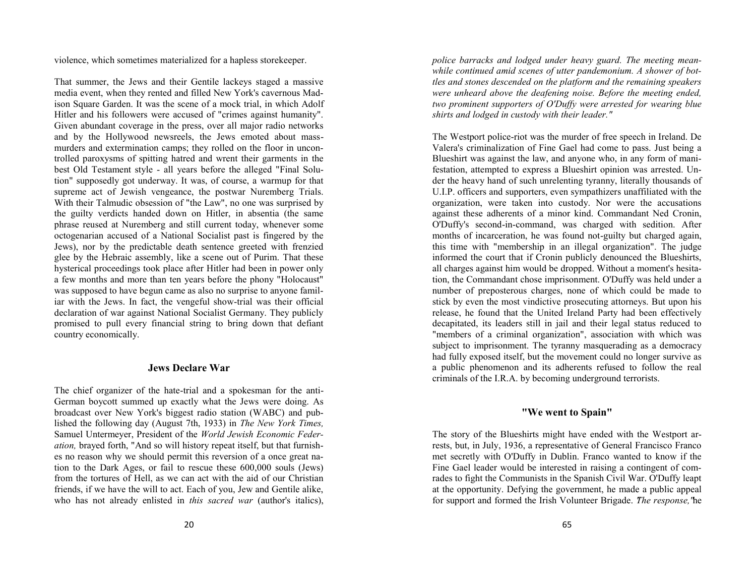violence, which sometimes materialized for a hapless storekeeper.

That summer, the Jews and their Gentile lackeys staged a massive media event, when they rented and filled New York's cavernous Madison Square Garden. It was the scene of a mock trial, in which Adolf Hitler and his followers were accused of "crimes against humanity". Given abundant coverage in the press, over all major radio networks and by the Hollywood newsreels, the Jews emoted about massmurders and extermination camps; they rolled on the floor in uncontrolled paroxysms of spitting hatred and wrent their garments in the best Old Testament style - all years before the alleged "Final Solution" supposedly got underway. It was, of course, a warmup for that supreme act of Jewish vengeance, the postwar Nuremberg Trials. With their Talmudic obsession of "the Law", no one was surprised by the guilty verdicts handed down on Hitler, in absentia (the same phrase reused at Nuremberg and still current today, whenever some octogenarian accused of a National Socialist past is fingered by the Jews), nor by the predictable death sentence greeted with frenzied glee by the Hebraic assembly, like a scene out of Purim. That these hysterical proceedings took place after Hitler had been in power only a few months and more than ten years before the phony "Holocaust" was supposed to have begun came as also no surprise to anyone familiar with the Jews. In fact, the vengeful show-trial was their official declaration of war against National Socialist Germany. They publicly promised to pull every financial string to bring down that defiant country economically.

#### **Jews Declare War**

The chief organizer of the hate-trial and a spokesman for the anti-German boycott summed up exactly what the Jews were doing. As broadcast over New York's biggest radio station (WABC) and published the following day (August 7th, 1933) in *The New York Times,*  Samuel Untermeyer, President of the *World Jewish Economic Federation,* brayed forth, "And so will history repeat itself, but that furnishes no reason why we should permit this reversion of a once great nation to the Dark Ages, or fail to rescue these 600,000 souls (Jews) from the tortures of Hell, as we can act with the aid of our Christian friends, if we have the will to act. Each of you, Jew and Gentile alike, who has not already enlisted in *this sacred war* (author's italics).

*police barracks and lodged under heavy guard. The meeting meanwhile continued amid scenes of utter pandemonium. A shower of bottles and stones descended on the platform and the remaining speakers were unheard above the deafening noise. Before the meeting ended, two prominent supporters of O'Duffy were arrested for wearing blue shirts and lodged in custody with their leader."*

The Westport police-riot was the murder of free speech in Ireland. De Valera's criminalization of Fine Gael had come to pass. Just being a Blueshirt was against the law, and anyone who, in any form of manifestation, attempted to express a Blueshirt opinion was arrested. Under the heavy hand of such unrelenting tyranny, literally thousands of U.I.P. officers and supporters, even sympathizers unaffiliated with the organization, were taken into custody. Nor were the accusations against these adherents of a minor kind. Commandant Ned Cronin, O'Duffy's second-in-command, was charged with sedition. After months of incarceration, he was found not-guilty but charged again, this time with "membership in an illegal organization". The judge informed the court that if Cronin publicly denounced the Blueshirts, all charges against him would be dropped. Without a moment's hesitation, the Commandant chose imprisonment. O'Duffy was held under a number of preposterous charges, none of which could be made to stick by even the most vindictive prosecuting attorneys. But upon his release, he found that the United Ireland Party had been effectively decapitated, its leaders still in jail and their legal status reduced to "members of a criminal organization", association with which was subject to imprisonment. The tyranny masquerading as a democracy had fully exposed itself, but the movement could no longer survive as a public phenomenon and its adherents refused to follow the real criminals of the I.R.A. by becoming underground terrorists.

#### **"We went to Spain"**

The story of the Blueshirts might have ended with the Westport arrests, but, in July, 1936, a representative of General Francisco Franco met secretly with O'Duffy in Dublin. Franco wanted to know if the Fine Gael leader would be interested in raising a contingent of comrades to fight the Communists in the Spanish Civil War. O'Duffy leapt at the opportunity. Defying the government, he made a public appeal for support and formed the Irish Volunteer Brigade. *"The response,"* he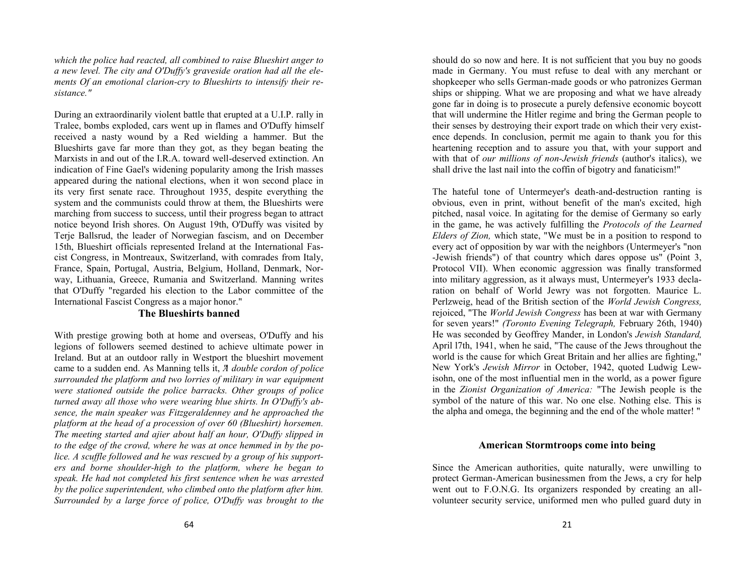*which the police had reacted, all combined to raise Blueshirt anger to a new level. The city and O'Duffy's graveside oration had all the elements Of an emotional clarion-cry to Blueshirts to intensify their resistance."*

During an extraordinarily violent battle that erupted at a U.I.P. rally in Tralee, bombs exploded, cars went up in flames and O'Duffy himself received a nasty wound by a Red wielding a hammer. But the Blueshirts gave far more than they got, as they began beating the Marxists in and out of the I.R.A. toward well-deserved extinction. An indication of Fine Gael's widening popularity among the Irish masses appeared during the national elections, when it won second place in its very first senate race. Throughout 1935, despite everything the system and the communists could throw at them, the Blueshirts were marching from success to success, until their progress began to attract notice beyond Irish shores. On August 19th, O'Duffy was visited by Terje Ballsrud, the leader of Norwegian fascism, and on December 15th, Blueshirt officials represented Ireland at the International Fascist Congress, in Montreaux, Switzerland, with comrades from Italy, France, Spain, Portugal, Austria, Belgium, Holland, Denmark, Norway, Lithuania, Greece, Rumania and Switzerland. Manning writes that O'Duffy "regarded his election to the Labor committee of the International Fascist Congress as a major honor."

#### **The Blueshirts banned**

With prestige growing both at home and overseas, O'Duffy and his legions of followers seemed destined to achieve ultimate power in Ireland. But at an outdoor rally in Westport the blueshirt movement came to a sudden end. As Manning tells it, *"A double cordon of police surrounded the platform and two lorries of military in war equipment were stationed outside the police barracks. Other groups of police turned away all those who were wearing blue shirts. In O'Duffy's absence, the main speaker was Fitzgeraldenney and he approached the platform at the head of a procession of over 60 (Blueshirt) horsemen. The meeting started and ajier about half an hour, O'Duffy slipped in to the edge of the crowd, where he was at once hemmed in by the police. A scuffle followed and he was rescued by a group of his supporters and borne shoulder-high to the platform, where he began to speak. He had not completed his first sentence when he was arrested by the police superintendent, who climbed onto the platform after him. Surrounded by a large force of police, O'Duffy was brought to the* 

should do so now and here. It is not sufficient that you buy no goods made in Germany. You must refuse to deal with any merchant or shopkeeper who sells German-made goods or who patronizes German ships or shipping. What we are proposing and what we have already gone far in doing is to prosecute a purely defensive economic boycott that will undermine the Hitler regime and bring the German people to their senses by destroying their export trade on which their very existence depends. In conclusion, permit me again to thank you for this heartening reception and to assure you that, with your support and with that of *our millions of non-Jewish friends* (author's italics), we shall drive the last nail into the coffin of bigotry and fanaticism!"

The hateful tone of Untermeyer's death-and-destruction ranting is obvious, even in print, without benefit of the man's excited, high pitched, nasal voice. In agitating for the demise of Germany so early in the game, he was actively fulfilling the *Protocols of the Learned Elders of Zion,* which state, "We must be in a position to respond to every act of opposition by war with the neighbors (Untermeyer's "non -Jewish friends") of that country which dares oppose us" (Point 3, Protocol VII). When economic aggression was finally transformed into military aggression, as it always must, Untermeyer's 1933 declaration on behalf of World Jewry was not forgotten. Maurice L. Perlzweig, head of the British section of the *World Jewish Congress,*  rejoiced, "The *World Jewish Congress* has been at war with Germany for seven years!" *(Toronto Evening Telegraph,* February 26th, 1940) He was seconded by Geoffrey Mander, in London's *Jewish Standard,*  April l7th, 1941, when he said, "The cause of the Jews throughout the world is the cause for which Great Britain and her allies are fighting," New York's *Jewish Mirror* in October, 1942, quoted Ludwig Lewisohn, one of the most influential men in the world, as a power figure in the *Zionist Organization of America:* "The Jewish people is the symbol of the nature of this war. No one else. Nothing else. This is the alpha and omega, the beginning and the end of the whole matter! "

#### **American Stormtroops come into being**

Since the American authorities, quite naturally, were unwilling to protect German-American businessmen from the Jews, a cry for help went out to F.O.N.G. Its organizers responded by creating an allvolunteer security service, uniformed men who pulled guard duty in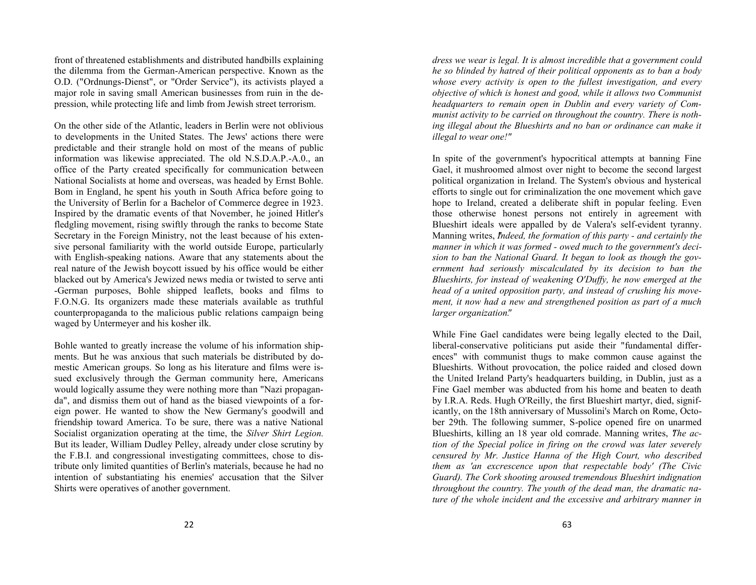front of threatened establishments and distributed handbills explaining the dilemma from the German-American perspective. Known as the O.D. ("Ordnungs-Dienst", or "Order Service"), its activists played a major role in saving small American businesses from ruin in the depression, while protecting life and limb from Jewish street terrorism.

On the other side of the Atlantic, leaders in Berlin were not oblivious to developments in the United States. The Jews' actions there were predictable and their strangle hold on most of the means of public information was likewise appreciated. The old N.S.D.A.P.-A.0., an office of the Party created specifically for communication between National Socialists at home and overseas, was headed by Ernst Bohle. Bom in England, he spent his youth in South Africa before going to the University of Berlin for a Bachelor of Commerce degree in 1923. Inspired by the dramatic events of that November, he joined Hitler's fledgling movement, rising swiftly through the ranks to become State Secretary in the Foreign Ministry, not the least because of his extensive personal familiarity with the world outside Europe, particularly with English-speaking nations. Aware that any statements about the real nature of the Jewish boycott issued by his office would be either blacked out by America's Jewized news media or twisted to serve anti -German purposes, Bohle shipped leaflets, books and films to F.O.N.G. Its organizers made these materials available as truthful counterpropaganda to the malicious public relations campaign being waged by Untermeyer and his kosher ilk.

Bohle wanted to greatly increase the volume of his information shipments. But he was anxious that such materials be distributed by domestic American groups. So long as his literature and films were issued exclusively through the German community here, Americans would logically assume they were nothing more than "Nazi propaganda", and dismiss them out of hand as the biased viewpoints of a foreign power. He wanted to show the New Germany's goodwill and friendship toward America. To be sure, there was a native National Socialist organization operating at the time, the *Silver Shirt Legion.*  But its leader, William Dudley Pelley, already under close scrutiny by the F.B.I. and congressional investigating committees, chose to distribute only limited quantities of Berlin's materials, because he had no intention of substantiating his enemies' accusation that the Silver Shirts were operatives of another government.

*dress we wear is legal. It is almost incredible that a government could he so blinded by hatred of their political opponents as to ban a body whose every activity is open to the fullest investigation, and every objective of which is honest and good, while it allows two Communist headquarters to remain open in Dublin and every variety of Communist activity to be carried on throughout the country. There is nothing illegal about the Blueshirts and no ban or ordinance can make it illegal to wear one!"*

In spite of the government's hypocritical attempts at banning Fine Gael, it mushroomed almost over night to become the second largest political organization in Ireland. The System's obvious and hysterical efforts to single out for criminalization the one movement which gave hope to Ireland, created a deliberate shift in popular feeling. Even those otherwise honest persons not entirely in agreement with Blueshirt ideals were appalled by de Valera's self-evident tyranny. Manning writes, *"Indeed, the formation of this party - and certainly the manner in which it was formed - owed much to the government's decision to ban the National Guard. It began to look as though the government had seriously miscalculated by its decision to ban the Blueshirts, for instead of weakening O'Duffy, he now emerged at the head of a united opposition party, and instead of crushing his movement, it now had a new and strengthened position as part of a much larger organization".*

While Fine Gael candidates were being legally elected to the Dail, liberal-conservative politicians put aside their "fundamental differences" with communist thugs to make common cause against the Blueshirts. Without provocation, the police raided and closed down the United Ireland Party's headquarters building, in Dublin, just as a Fine Gael member was abducted from his home and beaten to death by I.R.A. Reds. Hugh O'Reilly, the first Blueshirt martyr, died, significantly, on the 18th anniversary of Mussolini's March on Rome, October 29th. The following summer, S-police opened fire on unarmed Blueshirts, killing an 18 year old comrade. Manning writes, *"The action of the Special police in firing on the crowd was later severely censured by Mr. Justice Hanna of the High Court, who described them as 'an excrescence upon that respectable body' (The Civic Guard). The Cork shooting aroused tremendous Blueshirt indignation throughout the country. The youth of the dead man, the dramatic nature of the whole incident and the excessive and arbitrary manner in*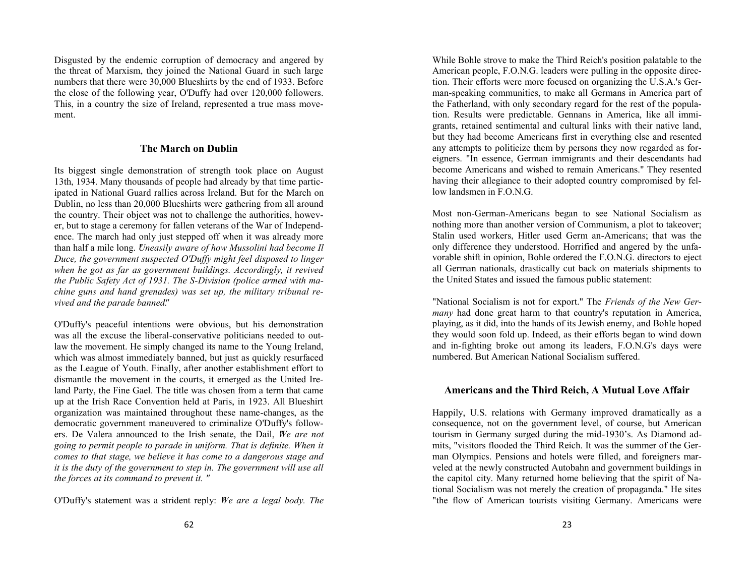Disgusted by the endemic corruption of democracy and angered by the threat of Marxism, they joined the National Guard in such large numbers that there were 30,000 Blueshirts by the end of 1933. Before the close of the following year, O'Duffy had over 120,000 followers. This, in a country the size of Ireland, represented a true mass movement.

#### **The March on Dublin**

Its biggest single demonstration of strength took place on August 13th, 1934. Many thousands of people had already by that time participated in National Guard rallies across Ireland. But for the March on Dublin, no less than 20,000 Blueshirts were gathering from all around the country. Their object was not to challenge the authorities, however, but to stage a ceremony for fallen veterans of the War of Independence. The march had only just stepped off when it was already more than half a mile long. *"Uneasily aware of how Mussolini had become Il Duce, the government suspected O'Duffy might feel disposed to linger when he got as far as government buildings. Accordingly, it revived the Public Safety Act of 1931. The S-Division (police armed with machine guns and hand grenades) was set up, the military tribunal revived and the parade banned".*

O'Duffy's peaceful intentions were obvious, but his demonstration was all the excuse the liberal-conservative politicians needed to outlaw the movement. He simply changed its name to the Young Ireland, which was almost immediately banned, but just as quickly resurfaced as the League of Youth. Finally, after another establishment effort to dismantle the movement in the courts, it emerged as the United Ireland Party, the Fine Gael. The title was chosen from a term that came up at the Irish Race Convention held at Paris, in 1923. All Blueshirt organization was maintained throughout these name-changes, as the democratic government maneuvered to criminalize O'Duffy's followers. De Valera announced to the Irish senate, the Dail, *"We are not going to permit people to parade in uniform. That is definite. When it comes to that stage, we believe it has come to a dangerous stage and it is the duty of the government to step in. The government will use all the forces at its command to prevent it. "*

O'Duffy's statement was a strident reply: *"We are a legal body. The* 

While Bohle strove to make the Third Reich's position palatable to the American people, F.O.N.G. leaders were pulling in the opposite direction. Their efforts were more focused on organizing the U.S.A.'s German-speaking communities, to make all Germans in America part of the Fatherland, with only secondary regard for the rest of the population. Results were predictable. Gennans in America, like all immigrants, retained sentimental and cultural links with their native land, but they had become Americans first in everything else and resented any attempts to politicize them by persons they now regarded as foreigners. "In essence, German immigrants and their descendants had become Americans and wished to remain Americans." They resented having their allegiance to their adopted country compromised by fellow landsmen in F.O.N.G.

Most non-German-Americans began to see National Socialism as nothing more than another version of Communism, a plot to takeover; Stalin used workers, Hitler used Germ an-Americans; that was the only difference they understood. Horrified and angered by the unfavorable shift in opinion, Bohle ordered the F.O.N.G. directors to eject all German nationals, drastically cut back on materials shipments to the United States and issued the famous public statement:

"National Socialism is not for export." The *Friends of the New Germany* had done great harm to that country's reputation in America, playing, as it did, into the hands of its Jewish enemy, and Bohle hoped they would soon fold up. Indeed, as their efforts began to wind down and in-fighting broke out among its leaders, F.O.N.G's days were numbered. But American National Socialism suffered.

#### **Americans and the Third Reich, A Mutual Love Affair**

Happily, U.S. relations with Germany improved dramatically as a consequence, not on the government level, of course, but American tourism in Germany surged during the mid-1930's. As Diamond admits, "visitors flooded the Third Reich. It was the summer of the German Olympics. Pensions and hotels were filled, and foreigners marveled at the newly constructed Autobahn and government buildings in the capitol city. Many returned home believing that the spirit of National Socialism was not merely the creation of propaganda." He sites "the flow of American tourists visiting Germany. Americans were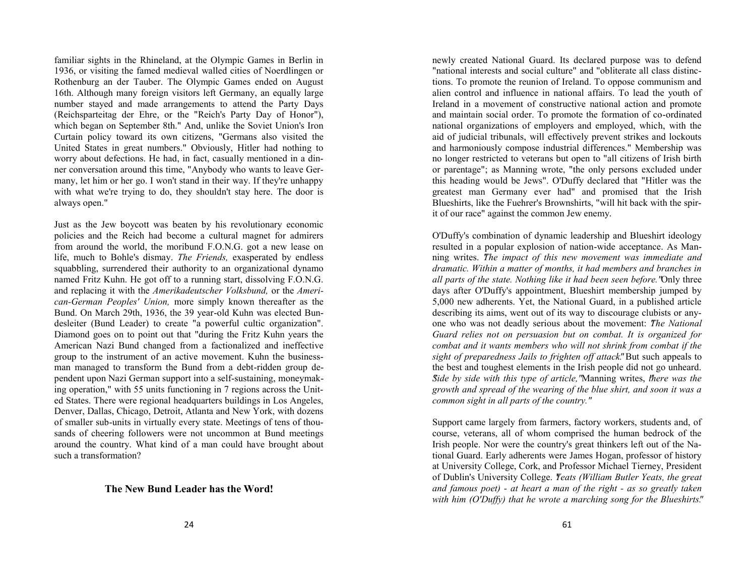familiar sights in the Rhineland, at the Olympic Games in Berlin in 1936, or visiting the famed medieval walled cities of Noerdlingen or Rothenburg an der Tauber. The Olympic Games ended on August 16th. Although many foreign visitors left Germany, an equally large number stayed and made arrangements to attend the Party Days (Reichsparteitag der Ehre, or the "Reich's Party Day of Honor"), which began on September 8th." And, unlike the Soviet Union's Iron Curtain policy toward its own citizens, "Germans also visited the United States in great numbers." Obviously, Hitler had nothing to worry about defections. He had, in fact, casually mentioned in a dinner conversation around this time, "Anybody who wants to leave Germany, let him or her go. I won't stand in their way. If they're unhappy with what we're trying to do, they shouldn't stay here. The door is always open."

Just as the Jew boycott was beaten by his revolutionary economic policies and the Reich had become a cultural magnet for admirers from around the world, the moribund F.O.N.G. got a new lease on life, much to Bohle's dismay. *The Friends,* exasperated by endless squabbling, surrendered their authority to an organizational dynamo named Fritz Kuhn. He got off to a running start, dissolving F.O.N.G. and replacing it with the *Amerikadeutscher Volksbund,* or the *American-German Peoples' Union,* more simply known thereafter as the Bund. On March 29th, 1936, the 39 year-old Kuhn was elected Bundesleiter (Bund Leader) to create "a powerful cultic organization". Diamond goes on to point out that "during the Fritz Kuhn years the American Nazi Bund changed from a factionalized and ineffective group to the instrument of an active movement. Kuhn the businessman managed to transform the Bund from a debt-ridden group dependent upon Nazi German support into a self-sustaining, moneymaking operation," with 55 units functioning in 7 regions across the United States. There were regional headquarters buildings in Los Angeles, Denver, Dallas, Chicago, Detroit, Atlanta and New York, with dozens of smaller sub-units in virtually every state. Meetings of tens of thousands of cheering followers were not uncommon at Bund meetings around the country. What kind of a man could have brought about such a transformation?

#### **The New Bund Leader has the Word!**

newly created National Guard. Its declared purpose was to defend "national interests and social culture" and "obliterate all class distinctions. To promote the reunion of Ireland. To oppose communism and alien control and influence in national affairs. To lead the youth of Ireland in a movement of constructive national action and promote and maintain social order. To promote the formation of co-ordinated national organizations of employers and employed, which, with the aid of judicial tribunals, will effectively prevent strikes and lockouts and harmoniously compose industrial differences." Membership was no longer restricted to veterans but open to "all citizens of Irish birth or parentage"; as Manning wrote, "the only persons excluded under this heading would be Jews". O'Duffy declared that "Hitler was the greatest man Germany ever had" and promised that the Irish Blueshirts, like the Fuehrer's Brownshirts, "will hit back with the spirit of our race" against the common Jew enemy.

O'Duffy's combination of dynamic leadership and Blueshirt ideology resulted in a popular explosion of nation-wide acceptance. As Manning writes. *"The impact of this new movement was immediate and dramatic. Within a matter of months, it had members and branches in all parts of the state. Nothing like it had been seen before."* Only three days after O'Duffy's appointment, Blueshirt membership jumped by 5,000 new adherents. Yet, the National Guard, in a published article describing its aims, went out of its way to discourage clubists or anyone who was not deadly serious about the movement: *"The National Guard relies not on persuasion but on combat. It is organized for combat and it wants members who will not shrink from combat if the sight of preparedness Jails to frighten off attack".* But such appeals to the best and toughest elements in the Irish people did not go unheard. *"Side by side with this type of article,"*Manning writes, *"there was the growth and spread of the wearing of the blue shirt, and soon it was a common sight in all parts of the country."*

Support came largely from farmers, factory workers, students and, of course, veterans, all of whom comprised the human bedrock of the Irish people. Nor were the country's great thinkers left out of the National Guard. Early adherents were James Hogan, professor of history at University College, Cork, and Professor Michael Tierney, President of Dublin's University College. *"Yeats (William Butler Yeats, the great and famous poet) - at heart a man of the right - as so greatly taken*  with him (O'Duffy) that he wrote a marching song for the Blueshirts."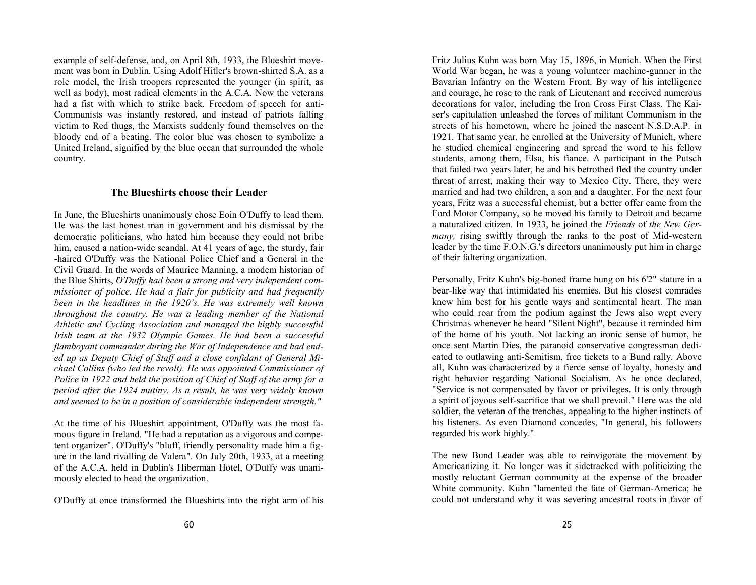example of self-defense, and, on April 8th, 1933, the Blueshirt movement was bom in Dublin. Using Adolf Hitler's brown-shirted S.A. as a role model, the Irish troopers represented the younger (in spirit, as well as body), most radical elements in the A.C.A. Now the veterans had a fist with which to strike back. Freedom of speech for anti-Communists was instantly restored, and instead of patriots falling victim to Red thugs, the Marxists suddenly found themselves on the bloody end of a beating. The color blue was chosen to symbolize a United Ireland, signified by the blue ocean that surrounded the whole country.

#### **The Blueshirts choose their Leader**

In June, the Blueshirts unanimously chose Eoin O'Duffy to lead them. He was the last honest man in government and his dismissal by the democratic politicians, who hated him because they could not bribe him, caused a nation-wide scandal. At 41 years of age, the sturdy, fair -haired O'Duffy was the National Police Chief and a General in the Civil Guard. In the words of Maurice Manning, a modem historian of the Blue Shirts, *O'Duffy had been a strong and very independent commissioner of police. He had a flair for publicity and had frequently been in the headlines in the 1920's. He was extremely well known throughout the country. He was a leading member of the National Athletic and Cycling Association and managed the highly successful Irish team at the 1932 Olympic Games. He had been a successful flamboyant commander during the War of Independence and had ended up as Deputy Chief of Staff and a close confidant of General Michael Collins (who led the revolt). He was appointed Commissioner of Police in 1922 and held the position of Chief of Staff of the army for a period after the 1924 mutiny. As a result, he was very widely known and seemed to be in a position of considerable independent strength."*

At the time of his Blueshirt appointment, O'Duffy was the most famous figure in Ireland. "He had a reputation as a vigorous and competent organizer". O'Duffy's "bluff, friendly personality made him a figure in the land rivalling de Valera". On July 20th, 1933, at a meeting of the A.C.A. held in Dublin's Hiberman Hotel, O'Duffy was unanimously elected to head the organization.

O'Duffy at once transformed the Blueshirts into the right arm of his

Fritz Julius Kuhn was born May 15, 1896, in Munich. When the First World War began, he was a young volunteer machine-gunner in the Bavarian Infantry on the Western Front. By way of his intelligence and courage, he rose to the rank of Lieutenant and received numerous decorations for valor, including the Iron Cross First Class. The Kaiser's capitulation unleashed the forces of militant Communism in the streets of his hometown, where he joined the nascent N.S.D.A.P. in 1921. That same year, he enrolled at the University of Munich, where he studied chemical engineering and spread the word to his fellow students, among them, Elsa, his fiance. A participant in the Putsch that failed two years later, he and his betrothed fled the country under threat of arrest, making their way to Mexico City. There, they were married and had two children, a son and a daughter. For the next four years, Fritz was a successful chemist, but a better offer came from the Ford Motor Company, so he moved his family to Detroit and became a naturalized citizen. In 1933, he joined the *Friends* of *the New Germany,* rising swiftly through the ranks to the post of Mid-western leader by the time F.O.N.G.'s directors unanimously put him in charge of their faltering organization.

Personally, Fritz Kuhn's big-boned frame hung on his 6'2" stature in a bear-like way that intimidated his enemies. But his closest comrades knew him best for his gentle ways and sentimental heart. The man who could roar from the podium against the Jews also wept every Christmas whenever he heard "Silent Night", because it reminded him of the home of his youth. Not lacking an ironic sense of humor, he once sent Martin Dies, the paranoid conservative congressman dedicated to outlawing anti-Semitism, free tickets to a Bund rally. Above all, Kuhn was characterized by a fierce sense of loyalty, honesty and right behavior regarding National Socialism. As he once declared, "Service is not compensated by favor or privileges. It is only through a spirit of joyous self-sacrifice that we shall prevail." Here was the old soldier, the veteran of the trenches, appealing to the higher instincts of his listeners. As even Diamond concedes, "In general, his followers regarded his work highly."

The new Bund Leader was able to reinvigorate the movement by Americanizing it. No longer was it sidetracked with politicizing the mostly reluctant German community at the expense of the broader White community. Kuhn "lamented the fate of German-America; he could not understand why it was severing ancestral roots in favor of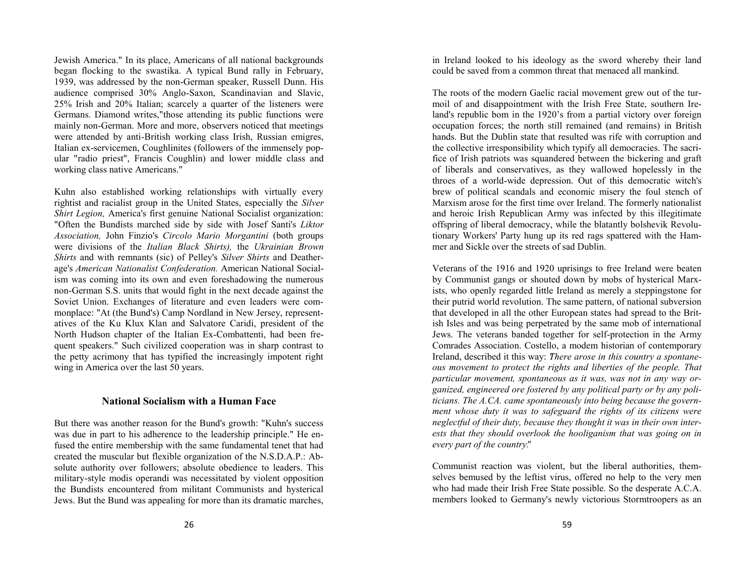Jewish America." In its place, Americans of all national backgrounds began flocking to the swastika. A typical Bund rally in February, 1939, was addressed by the non-German speaker, Russell Dunn. His audience comprised 30% Anglo-Saxon, Scandinavian and Slavic, 25% Irish and 20% Italian; scarcely a quarter of the listeners were Germans. Diamond writes,"those attending its public functions were mainly non-German. More and more, observers noticed that meetings were attended by anti-British working class Irish, Russian emigres, Italian ex-servicemen, Coughlinites (followers of the immensely popular "radio priest", Francis Coughlin) and lower middle class and working class native Americans."

Kuhn also established working relationships with virtually every rightist and racialist group in the United States, especially the *Silver Shirt Legion,* America's first genuine National Socialist organization: "Often the Bundists marched side by side with Josef Santi's *Liktor Association,* John Finzio's *Circolo Mario Morgantini* (both groups were divisions of the *Italian Black Shirts),* the *Ukrainian Brown Shirts* and with remnants (sic) of Pelley's *Silver Shirts* and Deatherage's *American Nationalist Confederation.* American National Socialism was coming into its own and even foreshadowing the numerous non-German S.S. units that would fight in the next decade against the Soviet Union. Exchanges of literature and even leaders were commonplace: "At (the Bund's) Camp Nordland in New Jersey, representatives of the Ku Klux Klan and Salvatore Caridi, president of the North Hudson chapter of the Italian Ex-Combattenti, had been frequent speakers." Such civilized cooperation was in sharp contrast to the petty acrimony that has typified the increasingly impotent right wing in America over the last 50 years.

#### **National Socialism with a Human Face**

But there was another reason for the Bund's growth: "Kuhn's success was due in part to his adherence to the leadership principle." He enfused the entire membership with the same fundamental tenet that had created the muscular but flexible organization of the N.S.D.A.P.: Absolute authority over followers; absolute obedience to leaders. This military-style modis operandi was necessitated by violent opposition the Bundists encountered from militant Communists and hysterical Jews. But the Bund was appealing for more than its dramatic marches,

in Ireland looked to his ideology as the sword whereby their land could be saved from a common threat that menaced all mankind.

The roots of the modern Gaelic racial movement grew out of the turmoil of and disappointment with the Irish Free State, southern Ireland's republic bom in the 1920's from a partial victory over foreign occupation forces; the north still remained (and remains) in British hands. But the Dublin state that resulted was rife with corruption and the collective irresponsibility which typify all democracies. The sacrifice of Irish patriots was squandered between the bickering and graft of liberals and conservatives, as they wallowed hopelessly in the throes of a world-wide depression. Out of this democratic witch's brew of political scandals and economic misery the foul stench of Marxism arose for the first time over Ireland. The formerly nationalist and heroic Irish Republican Army was infected by this illegitimate offspring of liberal democracy, while the blatantly bolshevik Revolutionary Workers' Party hung up its red rags spattered with the Hammer and Sickle over the streets of sad Dublin.

Veterans of the 1916 and 1920 uprisings to free Ireland were beaten by Communist gangs or shouted down by mobs of hysterical Marxists, who openly regarded little Ireland as merely a steppingstone for their putrid world revolution. The same pattern, of national subversion that developed in all the other European states had spread to the British Isles and was being perpetrated by the same mob of international Jews. The veterans banded together for self-protection in the Army Comrades Association. Costello, a modem historian of contemporary Ireland, described it this way: *"There arose in this country a spontaneous movement to protect the rights and liberties of the people. That particular movement, spontaneous as it was, was not in any way organized, engineered ore fostered by any political party or by any politicians. The A.CA. came spontaneously into being because the government whose duty it was to safeguard the rights of its citizens were neglectful of their duty, because they thought it was in their own interests that they should overlook the hooliganism that was going on in every part of the country".*

Communist reaction was violent, but the liberal authorities, themselves bemused by the leftist virus, offered no help to the very men who had made their Irish Free State possible. So the desperate A.C.A. members looked to Germany's newly victorious Stormtroopers as an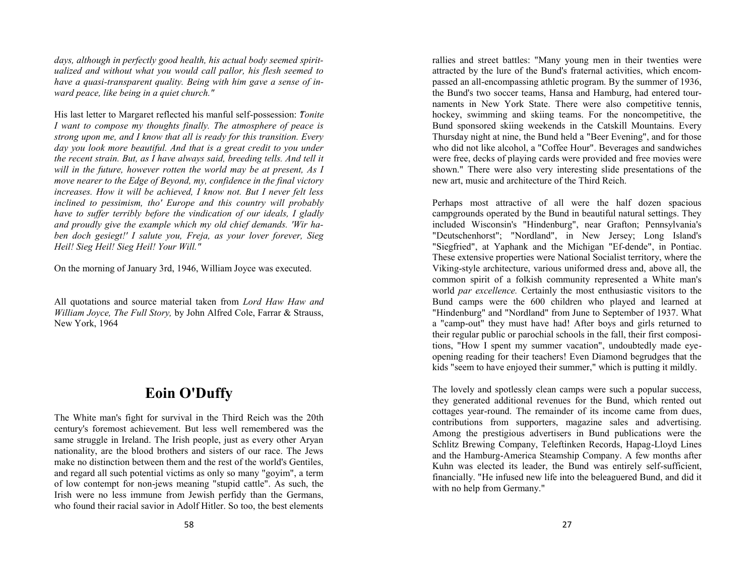*days, although in perfectly good health, his actual body seemed spiritualized and without what you would call pallor, his flesh seemed to have a quasi-transparent quality. Being with him gave a sense of inward peace, like being in a quiet church."*

His last letter to Margaret reflected his manful self-possession: *"Tonite I want to compose my thoughts finally. The atmosphere of peace is strong upon me, and I know that all is ready for this transition. Every day you look more beautiful. And that is a great credit to you under the recent strain. But, as I have always said, breeding tells. And tell it will in the future, however rotten the world may be at present, As I move nearer to the Edge of Beyond, my, confidence in the final victory increases. How it will be achieved, I know not. But I never felt less inclined to pessimism, tho' Europe and this country will probably have to suffer terribly before the vindication of our ideals, I gladly and proudly give the example which my old chief demands. 'Wir haben doch gesiegt!' I salute you, Freja, as your lover forever, Sieg Heil! Sieg Heil! Sieg Heil! Your Will."*

On the morning of January 3rd, 1946, William Joyce was executed.

All quotations and source material taken from *Lord Haw Haw and William Joyce, The Full Story,* by John Alfred Cole, Farrar & Strauss, New York, 1964

## **Eoin O'Duffy**

The White man's fight for survival in the Third Reich was the 20th century's foremost achievement. But less well remembered was the same struggle in Ireland. The Irish people, just as every other Aryan nationality, are the blood brothers and sisters of our race. The Jews make no distinction between them and the rest of the world's Gentiles, and regard all such potential victims as only so many "goyim", a term of low contempt for non-jews meaning "stupid cattle". As such, the Irish were no less immune from Jewish perfidy than the Germans, who found their racial savior in Adolf Hitler. So too, the best elements

rallies and street battles: "Many young men in their twenties were attracted by the lure of the Bund's fraternal activities, which encompassed an all-encompassing athletic program. By the summer of 1936, the Bund's two soccer teams, Hansa and Hamburg, had entered tournaments in New York State. There were also competitive tennis, hockey, swimming and skiing teams. For the noncompetitive, the Bund sponsored skiing weekends in the Catskill Mountains. Every Thursday night at nine, the Bund held a "Beer Evening", and for those who did not like alcohol, a "Coffee Hour". Beverages and sandwiches were free, decks of playing cards were provided and free movies were shown." There were also very interesting slide presentations of the new art, music and architecture of the Third Reich.

Perhaps most attractive of all were the half dozen spacious campgrounds operated by the Bund in beautiful natural settings. They included Wisconsin's "Hindenburg", near Grafton; Pennsylvania's "Deutschenhorst"; "Nordland", in New Jersey; Long Island's "Siegfried", at Yaphank and the Michigan "Ef-dende", in Pontiac. These extensive properties were National Socialist territory, where the Viking-style architecture, various uniformed dress and, above all, the common spirit of a folkish community represented a White man's world *par excellence.* Certainly the most enthusiastic visitors to the Bund camps were the 600 children who played and learned at "Hindenburg" and "Nordland" from June to September of 1937. What a "camp-out" they must have had! After boys and girls returned to their regular public or parochial schools in the fall, their first compositions, "How I spent my summer vacation", undoubtedly made eyeopening reading for their teachers! Even Diamond begrudges that the kids "seem to have enjoyed their summer," which is putting it mildly.

The lovely and spotlessly clean camps were such a popular success, they generated additional revenues for the Bund, which rented out cottages year-round. The remainder of its income came from dues, contributions from supporters, magazine sales and advertising. Among the prestigious advertisers in Bund publications were the Schlitz Brewing Company, Teleftinken Records, Hapag-Lloyd Lines and the Hamburg-America Steamship Company. A few months after Kuhn was elected its leader, the Bund was entirely self-sufficient, financially. "He infused new life into the beleaguered Bund, and did it with no help from Germany."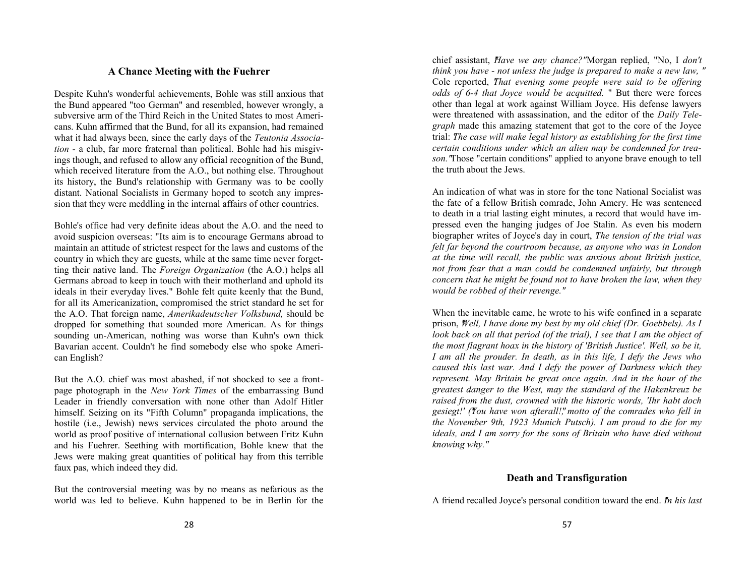#### **A Chance Meeting with the Fuehrer**

Despite Kuhn's wonderful achievements, Bohle was still anxious that the Bund appeared "too German" and resembled, however wrongly, a subversive arm of the Third Reich in the United States to most Americans. Kuhn affirmed that the Bund, for all its expansion, had remained what it had always been, since the early days of the *Teutonia Association -* a club, far more fraternal than political. Bohle had his misgivings though, and refused to allow any official recognition of the Bund, which received literature from the A.O., but nothing else. Throughout its history, the Bund's relationship with Germany was to be coolly distant. National Socialists in Germany hoped to scotch any impression that they were meddling in the internal affairs of other countries.

Bohle's office had very definite ideas about the A.O. and the need to avoid suspicion overseas: "Its aim is to encourage Germans abroad to maintain an attitude of strictest respect for the laws and customs of the country in which they are guests, while at the same time never forgetting their native land. The *Foreign Organization* (the A.O.) helps all Germans abroad to keep in touch with their motherland and uphold its ideals in their everyday lives." Bohle felt quite keenly that the Bund, for all its Americanization, compromised the strict standard he set for the A.O. That foreign name, *Amerikadeutscher Volksbund,* should be dropped for something that sounded more American. As for things sounding un-American, nothing was worse than Kuhn's own thick Bavarian accent. Couldn't he find somebody else who spoke American English?

But the A.O. chief was most abashed, if not shocked to see a frontpage photograph in the *New York Times* of the embarrassing Bund Leader in friendly conversation with none other than Adolf Hitler himself. Seizing on its "Fifth Column" propaganda implications, the hostile (i.e., Jewish) news services circulated the photo around the world as proof positive of international collusion between Fritz Kuhn and his Fuehrer. Seething with mortification, Bohle knew that the Jews were making great quantities of political hay from this terrible faux pas, which indeed they did.

But the controversial meeting was by no means as nefarious as the world was led to believe. Kuhn happened to be in Berlin for the

chief assistant, *"Have we any chance?"* Morgan replied, "No, I *don't think you have - not unless the judge is prepared to make a new law, "*  Cole reported, *"That evening some people were said to be offering odds of 6-4 that Joyce would be acquitted.* " But there were forces other than legal at work against William Joyce. His defense lawyers were threatened with assassination, and the editor of the *Daily Telegraph* made this amazing statement that got to the core of the Joyce trial: *"The case will make legal history as establishing for the first time certain conditions under which an alien may be condemned for treason."* Those "certain conditions" applied to anyone brave enough to tell the truth about the Jews.

An indication of what was in store for the tone National Socialist was the fate of a fellow British comrade, John Amery. He was sentenced to death in a trial lasting eight minutes, a record that would have impressed even the hanging judges of Joe Stalin. As even his modern biographer writes of Joyce's day in court, *"The tension of the trial was felt far beyond the courtroom because, as anyone who was in London at the time will recall, the public was anxious about British justice,*  not from fear that a man could be condemned unfairly, but through *concern that he might be found not to have broken the law, when they would be robbed of their revenge."*

When the inevitable came, he wrote to his wife confined in a separate prison, *"Well, I have done my best by my old chief (Dr. Goebbels). As I look back on all that period (of the trial), I see that I am the object of the most flagrant hoax in the history of 'British Justice'. Well, so be it, I am all the prouder. In death, as in this life, I defy the Jews who caused this last war. And I defy the power of Darkness which they represent. May Britain be great once again. And in the hour of the greatest danger to the West, may the standard of the Hakenkreuz be raised from the dust, crowned with the historic words, 'Ihr habt doch gesiegt!' ("You have won afterall!", motto of the comrades who fell in the November 9th, 1923 Munich Putsch). I am proud to die for my ideals, and I am sorry for the sons of Britain who have died without knowing why."*

#### **Death and Transfiguration**

A friend recalled Joyce's personal condition toward the end. *"In his last*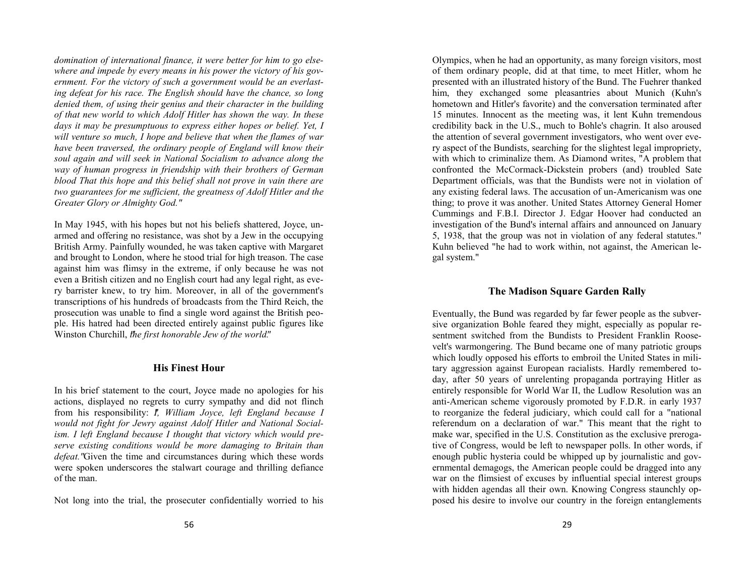*domination of international finance, it were better for him to go elsewhere and impede by every means in his power the victory of his government. For the victory of such a government would be an everlasting defeat for his race. The English should have the chance, so long denied them, of using their genius and their character in the building of that new world to which Adolf Hitler has shown the way. In these days it may be presumptuous to express either hopes or belief. Yet, I will venture so much, I hope and believe that when the flames of war have been traversed, the ordinary people of England will know their soul again and will seek in National Socialism to advance along the way of human progress in friendship with their brothers of German blood That this hope and this belief shall not prove in vain there are two guarantees for me sufficient, the greatness of Adolf Hitler and the Greater Glory or Almighty God."*

In May 1945, with his hopes but not his beliefs shattered, Joyce, unarmed and offering no resistance, was shot by a Jew in the occupying British Army. Painfully wounded, he was taken captive with Margaret and brought to London, where he stood trial for high treason. The case against him was flimsy in the extreme, if only because he was not even a British citizen and no English court had any legal right, as every barrister knew, to try him. Moreover, in all of the government's transcriptions of his hundreds of broadcasts from the Third Reich, the prosecution was unable to find a single word against the British people. His hatred had been directed entirely against public figures like Winston Churchill, *"the first honorable Jew of the world".*

#### **His Finest Hour**

In his brief statement to the court, Joyce made no apologies for his actions, displayed no regrets to curry sympathy and did not flinch from his responsibility: *"I, William Joyce, left England because I would not fight for Jewry against Adolf Hitler and National Socialism. I left England because I thought that victory which would preserve existing conditions would be more damaging to Britain than defeat."* Given the time and circumstances during which these words were spoken underscores the stalwart courage and thrilling defiance of the man.

Not long into the trial, the prosecuter confidentially worried to his

Olympics, when he had an opportunity, as many foreign visitors, most of them ordinary people, did at that time, to meet Hitler, whom he presented with an illustrated history of the Bund. The Fuehrer thanked him, they exchanged some pleasantries about Munich (Kuhn's hometown and Hitler's favorite) and the conversation terminated after 15 minutes. Innocent as the meeting was, it lent Kuhn tremendous credibility back in the U.S., much to Bohle's chagrin. It also aroused the attention of several government investigators, who went over every aspect of the Bundists, searching for the slightest legal impropriety, with which to criminalize them. As Diamond writes, "A problem that confronted the McCormack-Dickstein probers (and) troubled Sate Department officials, was that the Bundists were not in violation of any existing federal laws. The accusation of un-Americanism was one thing; to prove it was another. United States Attorney General Homer Cummings and F.B.I. Director J. Edgar Hoover had conducted an investigation of the Bund's internal affairs and announced on January 5, 1938, that the group was not in violation of any federal statutes." Kuhn believed "he had to work within, not against, the American legal system."

#### **The Madison Square Garden Rally**

Eventually, the Bund was regarded by far fewer people as the subversive organization Bohle feared they might, especially as popular resentment switched from the Bundists to President Franklin Roosevelt's warmongering. The Bund became one of many patriotic groups which loudly opposed his efforts to embroil the United States in military aggression against European racialists. Hardly remembered today, after 50 years of unrelenting propaganda portraying Hitler as entirely responsible for World War II, the Ludlow Resolution was an anti-American scheme vigorously promoted by F.D.R. in early 1937 to reorganize the federal judiciary, which could call for a "national referendum on a declaration of war." This meant that the right to make war, specified in the U.S. Constitution as the exclusive prerogative of Congress, would be left to newspaper polls. In other words, if enough public hysteria could be whipped up by journalistic and governmental demagogs, the American people could be dragged into any war on the flimsiest of excuses by influential special interest groups with hidden agendas all their own. Knowing Congress staunchly opposed his desire to involve our country in the foreign entanglements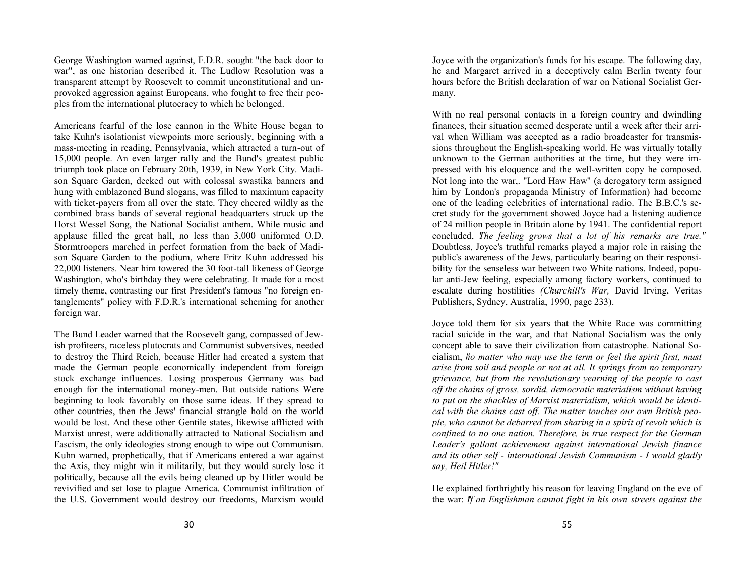George Washington warned against, F.D.R. sought "the back door to war", as one historian described it. The Ludlow Resolution was a transparent attempt by Roosevelt to commit unconstitutional and unprovoked aggression against Europeans, who fought to free their peoples from the international plutocracy to which he belonged.

Americans fearful of the lose cannon in the White House began to take Kuhn's isolationist viewpoints more seriously, beginning with a mass-meeting in reading, Pennsylvania, which attracted a turn-out of 15,000 people. An even larger rally and the Bund's greatest public triumph took place on February 20th, 1939, in New York City. Madison Square Garden, decked out with colossal swastika banners and hung with emblazoned Bund slogans, was filled to maximum capacity with ticket-payers from all over the state. They cheered wildly as the combined brass bands of several regional headquarters struck up the Horst Wessel Song, the National Socialist anthem. While music and applause filled the great hall, no less than 3,000 uniformed O.D. Stormtroopers marched in perfect formation from the back of Madison Square Garden to the podium, where Fritz Kuhn addressed his 22,000 listeners. Near him towered the 30 foot-tall likeness of George Washington, who's birthday they were celebrating. It made for a most timely theme, contrasting our first President's famous "no foreign entanglements" policy with F.D.R.'s international scheming for another foreign war.

The Bund Leader warned that the Roosevelt gang, compassed of Jewish profiteers, raceless plutocrats and Communist subversives, needed to destroy the Third Reich, because Hitler had created a system that made the German people economically independent from foreign stock exchange influences. Losing prosperous Germany was bad enough for the international money-men. But outside nations Were beginning to look favorably on those same ideas. If they spread to other countries, then the Jews' financial strangle hold on the world would be lost. And these other Gentile states, likewise afflicted with Marxist unrest, were additionally attracted to National Socialism and Fascism, the only ideologies strong enough to wipe out Communism. Kuhn warned, prophetically, that if Americans entered a war against the Axis, they might win it militarily, but they would surely lose it politically, because all the evils being cleaned up by Hitler would be revivified and set lose to plague America. Communist infiltration of the U.S. Government would destroy our freedoms, Marxism would Joyce with the organization's funds for his escape. The following day, he and Margaret arrived in a deceptively calm Berlin twenty four hours before the British declaration of war on National Socialist Germany.

With no real personal contacts in a foreign country and dwindling finances, their situation seemed desperate until a week after their arrival when William was accepted as a radio broadcaster for transmissions throughout the English-speaking world. He was virtually totally unknown to the German authorities at the time, but they were impressed with his eloquence and the well-written copy he composed. Not long into the war,. "Lord Haw Haw" (a derogatory term assigned him by London's propaganda Ministry of Information) had become one of the leading celebrities of international radio. The B.B.C.'s secret study for the government showed Joyce had a listening audience of 24 million people in Britain alone by 1941. The confidential report concluded, *"The feeling grows that a lot of his remarks are true."*  Doubtless, Joyce's truthful remarks played a major role in raising the public's awareness of the Jews, particularly bearing on their responsibility for the senseless war between two White nations. Indeed, popular anti-Jew feeling, especially among factory workers, continued to escalate during hostilities *(Churchill's War,* David Irving, Veritas Publishers, Sydney, Australia, 1990, page 233).

Joyce told them for six years that the White Race was committing racial suicide in the war, and that National Socialism was the only concept able to save their civilization from catastrophe. National Socialism, *ho matter who may use the term or feel the spirit first, must arise from soil and people or not at all. It springs from no temporary grievance, but from the revolutionary yearning of the people to cast off the chains of gross, sordid, democratic materialism without having to put on the shackles of Marxist materialism, which would be identical with the chains cast off. The matter touches our own British people, who cannot be debarred from sharing in a spirit of revolt which is confined to no one nation. Therefore, in true respect for the German Leader's gallant achievement against international Jewish finance and its other self - international Jewish Communism - I would gladly say, Heil Hitler!"*

He explained forthrightly his reason for leaving England on the eve of the war: *"If an Englishman cannot fight in his own streets against the*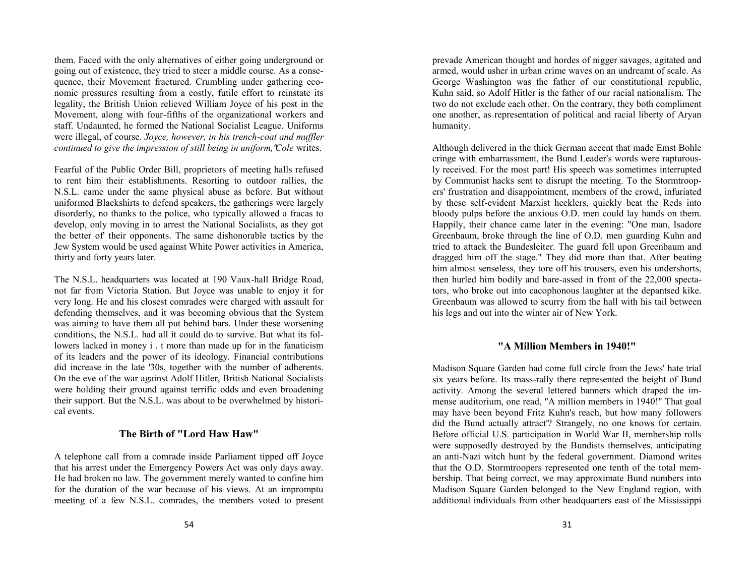them. Faced with the only alternatives of either going underground or going out of existence, they tried to steer a middle course. As a consequence, their Movement fractured. Crumbling under gathering economic pressures resulting from a costly, futile effort to reinstate its legality, the British Union relieved William Joyce of his post in the Movement, along with four-fifths of the organizational workers and staff. Undaunted, he formed the National Socialist League. Uniforms were illegal, of course. *"Joyce, however, in his trench-coat and muffler continued to give the impression of still being in uniform," Cole* writes.

Fearful of the Public Order Bill, proprietors of meeting halls refused to rent him their establishments. Resorting to outdoor rallies, the N.S.L. came under the same physical abuse as before. But without uniformed Blackshirts to defend speakers, the gatherings were largely disorderly, no thanks to the police, who typically allowed a fracas to develop, only moving in to arrest the National Socialists, as they got the better of' their opponents. The same dishonorable tactics by the Jew System would be used against White Power activities in America, thirty and forty years later.

The N.S.L. headquarters was located at 190 Vaux-hall Bridge Road, not far from Victoria Station. But Joyce was unable to enjoy it for very long. He and his closest comrades were charged with assault for defending themselves, and it was becoming obvious that the System was aiming to have them all put behind bars. Under these worsening conditions, the N.S.L. had all it could do to survive. But what its followers lacked in money i . t more than made up for in the fanaticism of its leaders and the power of its ideology. Financial contributions did increase in the late '30s, together with the number of adherents. On the eve of the war against Adolf Hitler, British National Socialists were holding their ground against terrific odds and even broadening their support. But the N.S.L. was about to be overwhelmed by historical events.

#### **The Birth of "Lord Haw Haw"**

A telephone call from a comrade inside Parliament tipped off Joyce that his arrest under the Emergency Powers Act was only days away. He had broken no law. The government merely wanted to confine him for the duration of the war because of his views. At an impromptu meeting of a few N.S.L. comrades, the members voted to present prevade American thought and hordes of nigger savages, agitated and armed, would usher in urban crime waves on an undreamt of scale. As George Washington was the father of our constitutional republic, Kuhn said, so Adolf Hitler is the father of our racial nationalism. The two do not exclude each other. On the contrary, they both compliment one another, as representation of political and racial liberty of Aryan humanity.

Although delivered in the thick German accent that made Emst Bohle cringe with embarrassment, the Bund Leader's words were rapturously received. For the most part! His speech was sometimes interrupted by Communist hacks sent to disrupt the meeting. To the Stormtroopers' frustration and disappointment, members of the crowd, infuriated by these self-evident Marxist hecklers, quickly beat the Reds into bloody pulps before the anxious O.D. men could lay hands on them. Happily, their chance came later in the evening: "One man, Isadore Greenbaum, broke through the line of O.D. men guarding Kuhn and tried to attack the Bundesleiter. The guard fell upon Greenbaum and dragged him off the stage." They did more than that. After beating him almost senseless, they tore off his trousers, even his undershorts, then hurled him bodily and bare-assed in front of the 22,000 spectators, who broke out into cacophonous laughter at the depantsed kike. Greenbaum was allowed to scurry from the hall with his tail between his legs and out into the winter air of New York.

#### **"A Million Members in 1940!"**

Madison Square Garden had come full circle from the Jews' hate trial six years before. Its mass-rally there represented the height of Bund activity. Among the several lettered banners which draped the immense auditorium, one read, "A million members in 1940!" That goal may have been beyond Fritz Kuhn's reach, but how many followers did the Bund actually attract'? Strangely, no one knows for certain. Before official U.S. participation in World War II, membership rolls were supposedly destroyed by the Bundists themselves, anticipating an anti-Nazi witch hunt by the federal government. Diamond writes that the O.D. Stormtroopers represented one tenth of the total membership. That being correct, we may approximate Bund numbers into Madison Square Garden belonged to the New England region, with additional individuals from other headquarters east of the Mississippi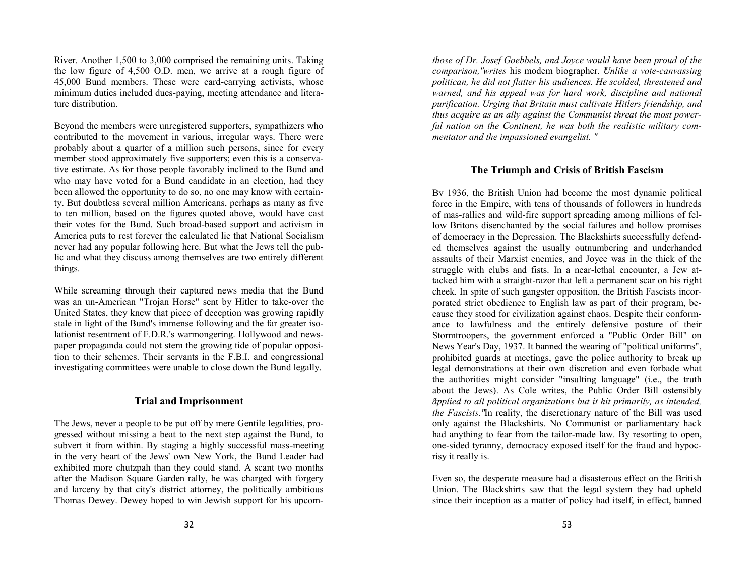River. Another 1,500 to 3,000 comprised the remaining units. Taking the low figure of 4,500 O.D. men, we arrive at a rough figure of 45,000 Bund members. These were card-carrying activists, whose minimum duties included dues-paying, meeting attendance and literature distribution.

Beyond the members were unregistered supporters, sympathizers who contributed to the movement in various, irregular ways. There were probably about a quarter of a million such persons, since for every member stood approximately five supporters; even this is a conservative estimate. As for those people favorably inclined to the Bund and who may have voted for a Bund candidate in an election, had they been allowed the opportunity to do so, no one may know with certainty. But doubtless several million Americans, perhaps as many as five to ten million, based on the figures quoted above, would have cast their votes for the Bund. Such broad-based support and activism in America puts to rest forever the calculated lie that National Socialism never had any popular following here. But what the Jews tell the public and what they discuss among themselves are two entirely different things.

While screaming through their captured news media that the Bund was an un-American "Trojan Horse" sent by Hitler to take-over the United States, they knew that piece of deception was growing rapidly stale in light of the Bund's immense following and the far greater isolationist resentment of F.D.R.'s warmongering. Hollywood and newspaper propaganda could not stem the growing tide of popular opposition to their schemes. Their servants in the F.B.I. and congressional investigating committees were unable to close down the Bund legally.

#### **Trial and Imprisonment**

The Jews, never a people to be put off by mere Gentile legalities, progressed without missing a beat to the next step against the Bund, to subvert it from within. By staging a highly successful mass-meeting in the very heart of the Jews' own New York, the Bund Leader had exhibited more chutzpah than they could stand. A scant two months after the Madison Square Garden rally, he was charged with forgery and larceny by that city's district attorney, the politically ambitious Thomas Dewey. Dewey hoped to win Jewish support for his upcom-

*those of Dr. Josef Goebbels, and Joyce would have been proud of the comparison," writes* his modem biographer. *"Unlike a vote-canvassing politican, he did not flatter his audiences. He scolded, threatened and warned, and his appeal was for hard work, discipline and national purification. Urging that Britain must cultivate Hitlers friendship, and thus acquire as an ally against the Communist threat the most powerful nation on the Continent, he was both the realistic military commentator and the impassioned evangelist. "*

#### **The Triumph and Crisis of British Fascism**

Bv 1936, the British Union had become the most dynamic political force in the Empire, with tens of thousands of followers in hundreds of mas-rallies and wild-fire support spreading among millions of fellow Britons disenchanted by the social failures and hollow promises of democracy in the Depression. The Blackshirts successfully defended themselves against the usually outnumbering and underhanded assaults of their Marxist enemies, and Joyce was in the thick of the struggle with clubs and fists. In a near-lethal encounter, a Jew attacked him with a straight-razor that left a permanent scar on his right cheek. In spite of such gangster opposition, the British Fascists incorporated strict obedience to English law as part of their program, because they stood for civilization against chaos. Despite their conformance to lawfulness and the entirely defensive posture of their Stormtroopers, the government enforced a "Public Order Bill" on News Year's Day, 1937. It banned the wearing of "political uniforms", prohibited guards at meetings, gave the police authority to break up legal demonstrations at their own discretion and even forbade what the authorities might consider "insulting language" (i.e., the truth about the Jews). As Cole writes, the Public Order Bill ostensibly *"applied to all political organizations but it hit primarily, as intended, the Fascists."*In reality, the discretionary nature of the Bill was used only against the Blackshirts. No Communist or parliamentary hack had anything to fear from the tailor-made law. By resorting to open, one-sided tyranny, democracy exposed itself for the fraud and hypocrisy it really is.

Even so, the desperate measure had a disasterous effect on the British Union. The Blackshirts saw that the legal system they had upheld since their inception as a matter of policy had itself, in effect, banned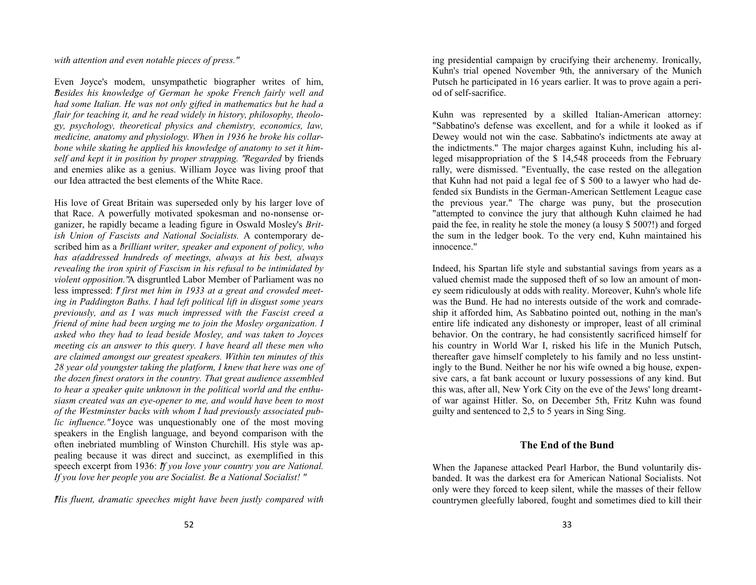*with attention and even notable pieces of press."*

Even Joyce's modem, unsympathetic biographer writes of him, *"Besides his knowledge of German he spoke French fairly well and had some Italian. He was not only gifted in mathematics but he had a flair for teaching it, and he read widely in history, philosophy, theology, psychology, theoretical physics and chemistry, economics, law, medicine, anatomy and physiology. When in 1936 he broke his collarbone while skating he applied his knowledge of anatomy to set it himself and kept it in position by proper strapping. " Regarded* by friends and enemies alike as a genius. William Joyce was living proof that our Idea attracted the best elements of the White Race.

His love of Great Britain was superseded only by his larger love of that Race. A powerfully motivated spokesman and no-nonsense organizer, he rapidly became a leading figure in Oswald Mosley's *British Union of Fascists and National Socialists.* A contemporary described him as a *brilliant writer, speaker and exponent of policy, who has a(addressed hundreds of meetings, always at his best, always revealing the iron spirit of Fascism in his refusal to be intimidated by violent opposition."*A disgruntled Labor Member of Parliament was no less impressed: *"I first met him in 1933 at a great and crowded meeting in Paddington Baths. I had left political lift in disgust some years previously, and as I was much impressed with the Fascist creed a friend of mine had been urging me to join the Mosley organization. I asked who they had to lead beside Mosley, and was taken to Joyces meeting cis an answer to this query. I have heard all these men who are claimed amongst our greatest speakers. Within ten minutes of this 28 year old youngster taking the platform, I knew that here was one of the dozen finest orators in the country. That great audience assembled to hear a speaker quite unknown in the political world and the enthusiasm created was an eye-opener to me, and would have been to most of the Westminster backs with whom I had previously associated public influence."* Joyce was unquestionably one of the most moving speakers in the English language, and beyond comparison with the often inebriated mumbling of Winston Churchill. His style was appealing because it was direct and succinct, as exemplified in this speech excerpt from 1936: If you love your country you are National. *If you love her people you are Socialist. Be a National Socialist! "*

*"His fluent, dramatic speeches might have been justly compared with* 

ing presidential campaign by crucifying their archenemy. Ironically, Kuhn's trial opened November 9th, the anniversary of the Munich Putsch he participated in 16 years earlier. It was to prove again a period of self-sacrifice.

Kuhn was represented by a skilled Italian-American attorney: "Sabbatino's defense was excellent, and for a while it looked as if Dewey would not win the case. Sabbatino's indictments ate away at the indictments." The major charges against Kuhn, including his alleged misappropriation of the \$ 14,548 proceeds from the February rally, were dismissed. "Eventually, the case rested on the allegation that Kuhn had not paid a legal fee of \$ 500 to a lawyer who had defended six Bundists in the German-American Settlement League case the previous year." The charge was puny, but the prosecution "attempted to convince the jury that although Kuhn claimed he had paid the fee, in reality he stole the money (a lousy \$ 500?!) and forged the sum in the ledger book. To the very end, Kuhn maintained his innocence."

Indeed, his Spartan life style and substantial savings from years as a valued chemist made the supposed theft of so low an amount of money seem ridiculously at odds with reality. Moreover, Kuhn's whole life was the Bund. He had no interests outside of the work and comradeship it afforded him, As Sabbatino pointed out, nothing in the man's entire life indicated any dishonesty or improper, least of all criminal behavior. On the contrary, he had consistently sacrificed himself for his country in World War I, risked his life in the Munich Putsch, thereafter gave himself completely to his family and no less unstintingly to the Bund. Neither he nor his wife owned a big house, expensive cars, a fat bank account or luxury possessions of any kind. But this was, after all, New York City on the eve of the Jews' long dreamtof war against Hitler. So, on December 5th, Fritz Kuhn was found guilty and sentenced to 2,5 to 5 years in Sing Sing.

#### **The End of the Bund**

When the Japanese attacked Pearl Harbor, the Bund voluntarily disbanded. It was the darkest era for American National Socialists. Not only were they forced to keep silent, while the masses of their fellow countrymen gleefully labored, fought and sometimes died to kill their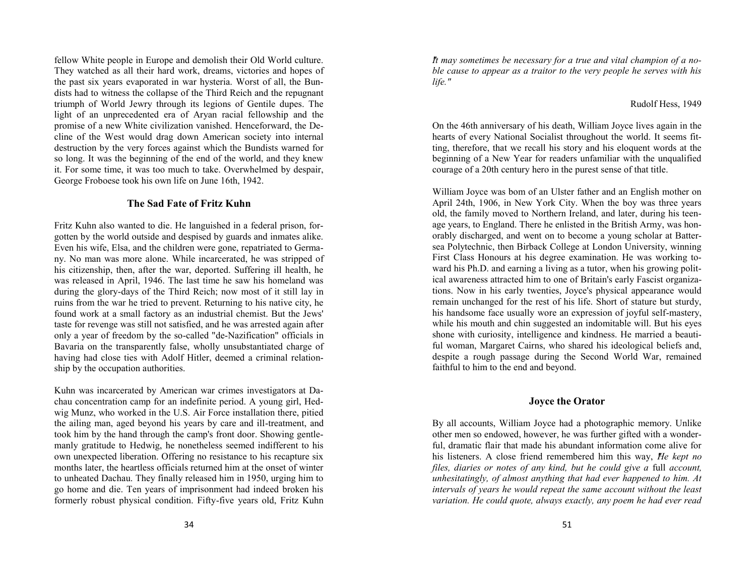fellow White people in Europe and demolish their Old World culture. They watched as all their hard work, dreams, victories and hopes of the past six years evaporated in war hysteria. Worst of all, the Bundists had to witness the collapse of the Third Reich and the repugnant triumph of World Jewry through its legions of Gentile dupes. The light of an unprecedented era of Aryan racial fellowship and the promise of a new White civilization vanished. Henceforward, the Decline of the West would drag down American society into internal destruction by the very forces against which the Bundists warned for so long. It was the beginning of the end of the world, and they knew it. For some time, it was too much to take. Overwhelmed by despair, George Froboese took his own life on June 16th, 1942.

#### **The Sad Fate of Fritz Kuhn**

Fritz Kuhn also wanted to die. He languished in a federal prison, forgotten by the world outside and despised by guards and inmates alike. Even his wife, Elsa, and the children were gone, repatriated to Germany. No man was more alone. While incarcerated, he was stripped of his citizenship, then, after the war, deported. Suffering ill health, he was released in April, 1946. The last time he saw his homeland was during the glory-days of the Third Reich; now most of it still lay in ruins from the war he tried to prevent. Returning to his native city, he found work at a small factory as an industrial chemist. But the Jews' taste for revenge was still not satisfied, and he was arrested again after only a year of freedom by the so-called "de-Nazification" officials in Bavaria on the transparently false, wholly unsubstantiated charge of having had close ties with Adolf Hitler, deemed a criminal relationship by the occupation authorities.

Kuhn was incarcerated by American war crimes investigators at Dachau concentration camp for an indefinite period. A young girl, Hedwig Munz, who worked in the U.S. Air Force installation there, pitied the ailing man, aged beyond his years by care and ill-treatment, and took him by the hand through the camp's front door. Showing gentlemanly gratitude to Hedwig, he nonetheless seemed indifferent to his own unexpected liberation. Offering no resistance to his recapture six months later, the heartless officials returned him at the onset of winter to unheated Dachau. They finally released him in 1950, urging him to go home and die. Ten years of imprisonment had indeed broken his formerly robust physical condition. Fifty-five years old, Fritz Kuhn *"It may sometimes be necessary for a true and vital champion of a noble cause to appear as a traitor to the very people he serves with his life."*

#### Rudolf Hess, 1949

On the 46th anniversary of his death, William Joyce lives again in the hearts of every National Socialist throughout the world. It seems fitting, therefore, that we recall his story and his eloquent words at the beginning of a New Year for readers unfamiliar with the unqualified courage of a 20th century hero in the purest sense of that title.

William Joyce was bom of an Ulster father and an English mother on April 24th, 1906, in New York City. When the boy was three years old, the family moved to Northern Ireland, and later, during his teenage years, to England. There he enlisted in the British Army, was honorably discharged, and went on to become a young scholar at Battersea Polytechnic, then Birback College at London University, winning First Class Honours at his degree examination. He was working toward his Ph.D. and earning a living as a tutor, when his growing political awareness attracted him to one of Britain's early Fascist organizations. Now in his early twenties, Joyce's physical appearance would remain unchanged for the rest of his life. Short of stature but sturdy, his handsome face usually wore an expression of joyful self-mastery, while his mouth and chin suggested an indomitable will. But his eyes shone with curiosity, intelligence and kindness. He married a beautiful woman, Margaret Cairns, who shared his ideological beliefs and, despite a rough passage during the Second World War, remained faithful to him to the end and beyond.

#### **Joyce the Orator**

By all accounts, William Joyce had a photographic memory. Unlike other men so endowed, however, he was further gifted with a wonderful, dramatic flair that made his abundant information come alive for his listeners. A close friend remembered him this way, *"He kept no files, diaries or notes of any kind, but he could give a* full *account, unhesitatingly, of almost anything that had ever happened to him. At intervals of years he would repeat the same account without the least variation. He could quote, always exactly, any poem he had ever read*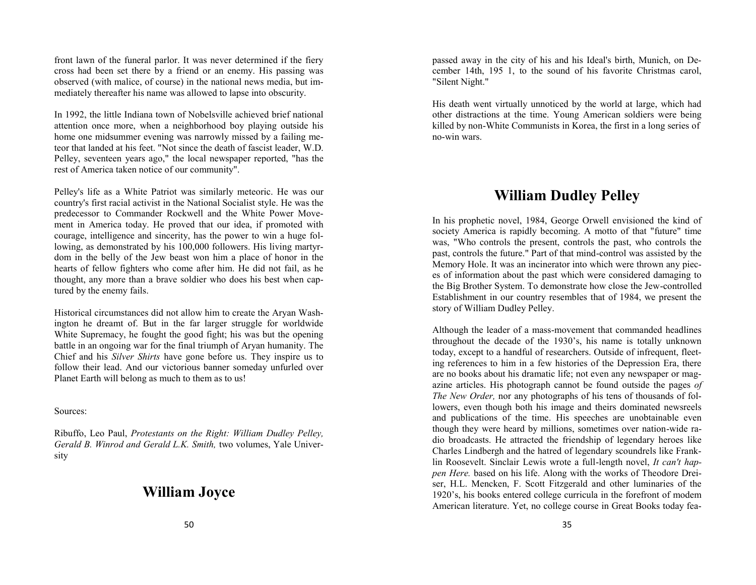front lawn of the funeral parlor. It was never determined if the fiery cross had been set there by a friend or an enemy. His passing was observed (with malice, of course) in the national news media, but immediately thereafter his name was allowed to lapse into obscurity.

In 1992, the little Indiana town of Nobelsville achieved brief national attention once more, when a neighborhood boy playing outside his home one midsummer evening was narrowly missed by a failing meteor that landed at his feet. "Not since the death of fascist leader, W.D. Pelley, seventeen years ago," the local newspaper reported, "has the rest of America taken notice of our community".

Pelley's life as a White Patriot was similarly meteoric. He was our country's first racial activist in the National Socialist style. He was the predecessor to Commander Rockwell and the White Power Movement in America today. He proved that our idea, if promoted with courage, intelligence and sincerity, has the power to win a huge following, as demonstrated by his 100,000 followers. His living martyrdom in the belly of the Jew beast won him a place of honor in the hearts of fellow fighters who come after him. He did not fail, as he thought, any more than a brave soldier who does his best when captured by the enemy fails.

Historical circumstances did not allow him to create the Aryan Washington he dreamt of. But in the far larger struggle for worldwide White Supremacy, he fought the good fight; his was but the opening battle in an ongoing war for the final triumph of Aryan humanity. The Chief and his *Silver Shirts* have gone before us. They inspire us to follow their lead. And our victorious banner someday unfurled over Planet Earth will belong as much to them as to us!

#### Sources:

Ribuffo, Leo Paul, *Protestants on the Right: William Dudley Pelley, Gerald B. Winrod and Gerald L.K. Smith,* two volumes, Yale University

### **William Joyce**

passed away in the city of his and his Ideal's birth, Munich, on December 14th, 195 1, to the sound of his favorite Christmas carol, "Silent Night."

His death went virtually unnoticed by the world at large, which had other distractions at the time. Young American soldiers were being killed by non-White Communists in Korea, the first in a long series of no-win wars.

## **William Dudley Pelley**

In his prophetic novel, 1984, George Orwell envisioned the kind of society America is rapidly becoming. A motto of that "future" time was, "Who controls the present, controls the past, who controls the past, controls the future." Part of that mind-control was assisted by the Memory Hole. It was an incinerator into which were thrown any pieces of information about the past which were considered damaging to the Big Brother System. To demonstrate how close the Jew-controlled Establishment in our country resembles that of 1984, we present the story of William Dudley Pelley.

Although the leader of a mass-movement that commanded headlines throughout the decade of the 1930's, his name is totally unknown today, except to a handful of researchers. Outside of infrequent, fleeting references to him in a few histories of the Depression Era, there are no books about his dramatic life; not even any newspaper or magazine articles. His photograph cannot be found outside the pages *of The New Order,* nor any photographs of his tens of thousands of followers, even though both his image and theirs dominated newsreels and publications of the time. His speeches are unobtainable even though they were heard by millions, sometimes over nation-wide radio broadcasts. He attracted the friendship of legendary heroes like Charles Lindbergh and the hatred of legendary scoundrels like Franklin Roosevelt. Sinclair Lewis wrote a full-length novel, *It can't happen Here.* based on his life. Along with the works of Theodore Dreiser, H.L. Mencken, F. Scott Fitzgerald and other luminaries of the 1920's, his books entered college curricula in the forefront of modem American literature. Yet, no college course in Great Books today fea-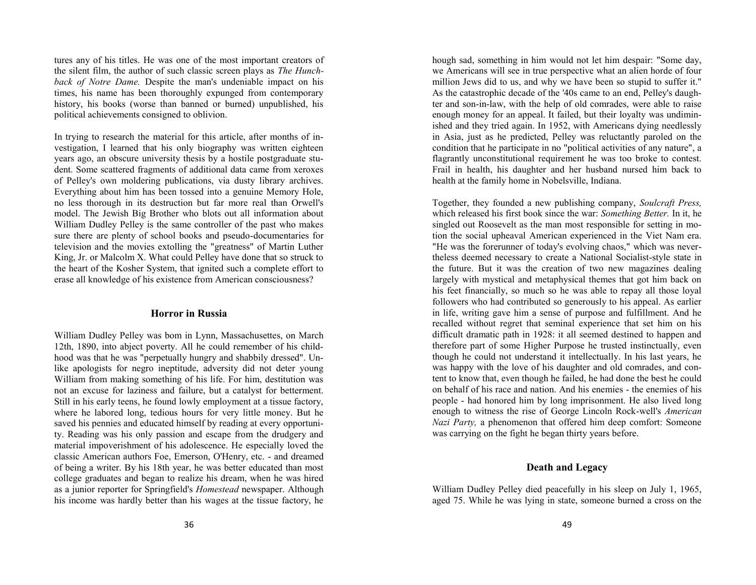tures any of his titles. He was one of the most important creators of the silent film, the author of such classic screen plays as *The Hunchback of Notre Dame.* Despite the man's undeniable impact on his times, his name has been thoroughly expunged from contemporary history, his books (worse than banned or burned) unpublished, his political achievements consigned to oblivion.

In trying to research the material for this article, after months of investigation, I learned that his only biography was written eighteen years ago, an obscure university thesis by a hostile postgraduate student. Some scattered fragments of additional data came from xeroxes of Pelley's own moldering publications, via dusty library archives. Everything about him has been tossed into a genuine Memory Hole, no less thorough in its destruction but far more real than Orwell's model. The Jewish Big Brother who blots out all information about William Dudley Pelley is the same controller of the past who makes sure there are plenty of school books and pseudo-documentaries for television and the movies extolling the "greatness" of Martin Luther King, Jr. or Malcolm X. What could Pelley have done that so struck to the heart of the Kosher System, that ignited such a complete effort to erase all knowledge of his existence from American consciousness?

#### **Horror in Russia**

William Dudley Pelley was bom in Lynn, Massachusettes, on March 12th, 1890, into abject poverty. All he could remember of his childhood was that he was "perpetually hungry and shabbily dressed". Unlike apologists for negro ineptitude, adversity did not deter young William from making something of his life. For him, destitution was not an excuse for laziness and failure, but a catalyst for betterment. Still in his early teens, he found lowly employment at a tissue factory, where he labored long, tedious hours for very little money. But he saved his pennies and educated himself by reading at every opportunity. Reading was his only passion and escape from the drudgery and material impoverishment of his adolescence. He especially loved the classic American authors Foe, Emerson, O'Henry, etc. - and dreamed of being a writer. By his 18th year, he was better educated than most college graduates and began to realize his dream, when he was hired as a junior reporter for Springfield's *Homestead* newspaper. Although his income was hardly better than his wages at the tissue factory, he hough sad, something in him would not let him despair: "Some day, we Americans will see in true perspective what an alien horde of four million Jews did to us, and why we have been so stupid to suffer it." As the catastrophic decade of the '40s came to an end, Pelley's daughter and son-in-law, with the help of old comrades, were able to raise enough money for an appeal. It failed, but their loyalty was undiminished and they tried again. In 1952, with Americans dying needlessly in Asia, just as he predicted, Pelley was reluctantly paroled on the condition that he participate in no "political activities of any nature", a flagrantly unconstitutional requirement he was too broke to contest. Frail in health, his daughter and her husband nursed him back to health at the family home in Nobelsville, Indiana.

Together, they founded a new publishing company, *Soulcraft Press,*  which released his first book since the war: *Something Better.* In it, he singled out Roosevelt as the man most responsible for setting in motion the social upheaval American experienced in the Viet Nam era. "He was the forerunner of today's evolving chaos," which was nevertheless deemed necessary to create a National Socialist-style state in the future. But it was the creation of two new magazines dealing largely with mystical and metaphysical themes that got him back on his feet financially, so much so he was able to repay all those loyal followers who had contributed so generously to his appeal. As earlier in life, writing gave him a sense of purpose and fulfillment. And he recalled without regret that seminal experience that set him on his difficult dramatic path in 1928: it all seemed destined to happen and therefore part of some Higher Purpose he trusted instinctually, even though he could not understand it intellectually. In his last years, he was happy with the love of his daughter and old comrades, and content to know that, even though he failed, he had done the best he could on behalf of his race and nation. And his enemies - the enemies of his people - had honored him by long imprisonment. He also lived long enough to witness the rise of George Lincoln Rock-well's *American Nazi Party,* a phenomenon that offered him deep comfort: Someone was carrying on the fight he began thirty years before.

#### **Death and Legacy**

William Dudley Pelley died peacefully in his sleep on July 1, 1965, aged 75. While he was lying in state, someone burned a cross on the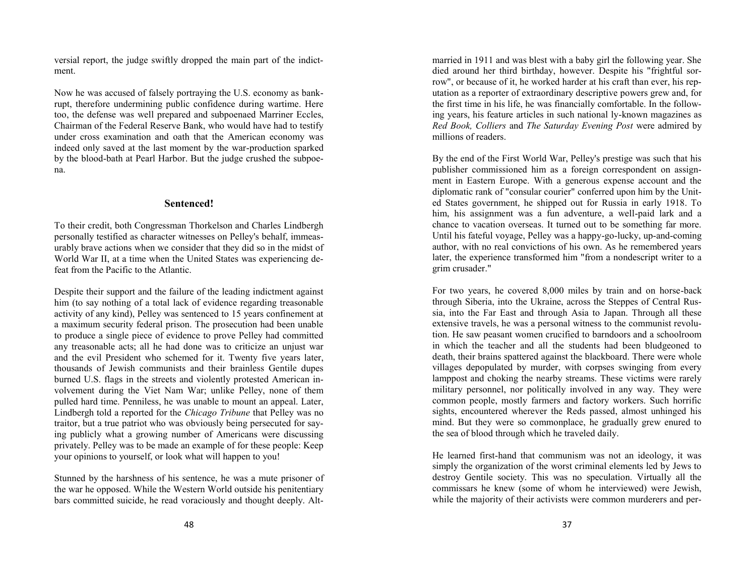versial report, the judge swiftly dropped the main part of the indictment.

Now he was accused of falsely portraying the U.S. economy as bankrupt, therefore undermining public confidence during wartime. Here too, the defense was well prepared and subpoenaed Marriner Eccles, Chairman of the Federal Reserve Bank, who would have had to testify under cross examination and oath that the American economy was indeed only saved at the last moment by the war-production sparked by the blood-bath at Pearl Harbor. But the judge crushed the subpoena.

#### **Sentenced!**

To their credit, both Congressman Thorkelson and Charles Lindbergh personally testified as character witnesses on Pelley's behalf, immeasurably brave actions when we consider that they did so in the midst of World War II, at a time when the United States was experiencing defeat from the Pacific to the Atlantic.

Despite their support and the failure of the leading indictment against him (to say nothing of a total lack of evidence regarding treasonable activity of any kind), Pelley was sentenced to 15 years confinement at a maximum security federal prison. The prosecution had been unable to produce a single piece of evidence to prove Pelley had committed any treasonable acts; all he had done was to criticize an unjust war and the evil President who schemed for it. Twenty five years later, thousands of Jewish communists and their brainless Gentile dupes burned U.S. flags in the streets and violently protested American involvement during the Viet Nam War; unlike Pelley, none of them pulled hard time. Penniless, he was unable to mount an appeal. Later, Lindbergh told a reported for the *Chicago Tribune* that Pelley was no traitor, but a true patriot who was obviously being persecuted for saying publicly what a growing number of Americans were discussing privately. Pelley was to be made an example of for these people: Keep your opinions to yourself, or look what will happen to you!

Stunned by the harshness of his sentence, he was a mute prisoner of the war he opposed. While the Western World outside his penitentiary bars committed suicide, he read voraciously and thought deeply. Alt-

married in 1911 and was blest with a baby girl the following year. She died around her third birthday, however. Despite his "frightful sorrow", or because of it, he worked harder at his craft than ever, his reputation as a reporter of extraordinary descriptive powers grew and, for the first time in his life, he was financially comfortable. In the following years, his feature articles in such national ly-known magazines as *Red Book, Colliers* and *The Saturday Evening Post* were admired by millions of readers.

By the end of the First World War, Pelley's prestige was such that his publisher commissioned him as a foreign correspondent on assignment in Eastern Europe. With a generous expense account and the diplomatic rank of "consular courier" conferred upon him by the United States government, he shipped out for Russia in early 1918. To him, his assignment was a fun adventure, a well-paid lark and a chance to vacation overseas. It turned out to be something far more. Until his fateful voyage, Pelley was a happy-go-lucky, up-and-coming author, with no real convictions of his own. As he remembered years later, the experience transformed him "from a nondescript writer to a grim crusader."

For two years, he covered 8,000 miles by train and on horse-back through Siberia, into the Ukraine, across the Steppes of Central Russia, into the Far East and through Asia to Japan. Through all these extensive travels, he was a personal witness to the communist revolution. He saw peasant women crucified to barndoors and a schoolroom in which the teacher and all the students had been bludgeoned to death, their brains spattered against the blackboard. There were whole villages depopulated by murder, with corpses swinging from every lamppost and choking the nearby streams. These victims were rarely military personnel, nor politically involved in any way. They were common people, mostly farmers and factory workers. Such horrific sights, encountered wherever the Reds passed, almost unhinged his mind. But they were so commonplace, he gradually grew enured to the sea of blood through which he traveled daily.

He learned first-hand that communism was not an ideology, it was simply the organization of the worst criminal elements led by Jews to destroy Gentile society. This was no speculation. Virtually all the commissars he knew (some of whom he interviewed) were Jewish, while the majority of their activists were common murderers and per-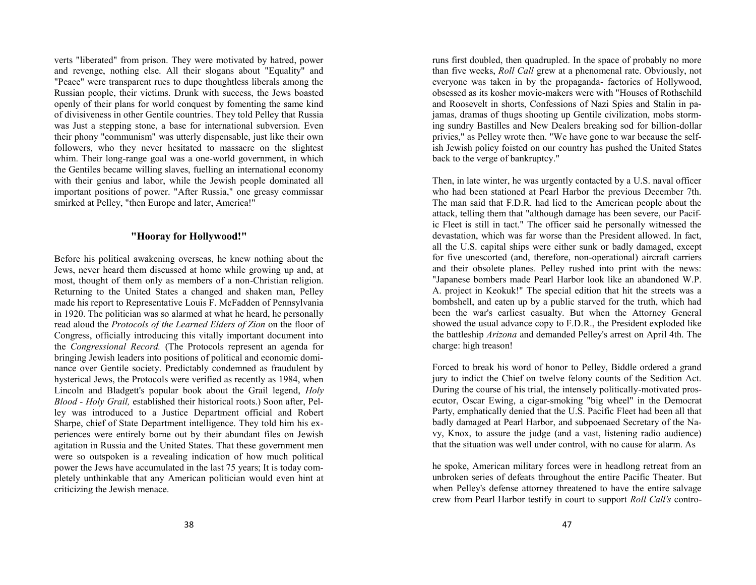verts "liberated" from prison. They were motivated by hatred, power and revenge, nothing else. All their slogans about "Equality" and "Peace" were transparent rues to dupe thoughtless liberals among the Russian people, their victims. Drunk with success, the Jews boasted openly of their plans for world conquest by fomenting the same kind of divisiveness in other Gentile countries. They told Pelley that Russia was Just a stepping stone, a base for international subversion. Even their phony "communism" was utterly dispensable, just like their own followers, who they never hesitated to massacre on the slightest whim. Their long-range goal was a one-world government, in which the Gentiles became willing slaves, fuelling an international economy with their genius and labor, while the Jewish people dominated all important positions of power. "After Russia," one greasy commissar smirked at Pelley, "then Europe and later, America!"

#### **"Hooray for Hollywood!"**

Before his political awakening overseas, he knew nothing about the Jews, never heard them discussed at home while growing up and, at most, thought of them only as members of a non-Christian religion. Returning to the United States a changed and shaken man, Pelley made his report to Representative Louis F. McFadden of Pennsylvania in 1920. The politician was so alarmed at what he heard, he personally read aloud the *Protocols of the Learned Elders of Zion* on the floor of Congress, officially introducing this vitally important document into the *Congressional Record.* (The Protocols represent an agenda for bringing Jewish leaders into positions of political and economic dominance over Gentile society. Predictably condemned as fraudulent by hysterical Jews, the Protocols were verified as recently as 1984, when Lincoln and Bladgett's popular book about the Grail legend, *Holy Blood - Holy Grail,* established their historical roots.) Soon after, Pelley was introduced to a Justice Department official and Robert Sharpe, chief of State Department intelligence. They told him his experiences were entirely borne out by their abundant files on Jewish agitation in Russia and the United States. That these government men were so outspoken is a revealing indication of how much political power the Jews have accumulated in the last 75 years; It is today completely unthinkable that any American politician would even hint at criticizing the Jewish menace.

runs first doubled, then quadrupled. In the space of probably no more than five weeks, *Roll Call* grew at a phenomenal rate. Obviously, not everyone was taken in by the propaganda- factories of Hollywood, obsessed as its kosher movie-makers were with "Houses of Rothschild and Roosevelt in shorts, Confessions of Nazi Spies and Stalin in pajamas, dramas of thugs shooting up Gentile civilization, mobs storming sundry Bastilles and New Dealers breaking sod for billion-dollar privies," as Pelley wrote then. "We have gone to war because the selfish Jewish policy foisted on our country has pushed the United States back to the verge of bankruptcy."

Then, in late winter, he was urgently contacted by a U.S. naval officer who had been stationed at Pearl Harbor the previous December 7th. The man said that F.D.R. had lied to the American people about the attack, telling them that "although damage has been severe, our Pacific Fleet is still in tact." The officer said he personally witnessed the devastation, which was far worse than the President allowed. In fact, all the U.S. capital ships were either sunk or badly damaged, except for five unescorted (and, therefore, non-operational) aircraft carriers and their obsolete planes. Pelley rushed into print with the news: "Japanese bombers made Pearl Harbor look like an abandoned W.P. A. project in Keokuk!" The special edition that hit the streets was a bombshell, and eaten up by a public starved for the truth, which had been the war's earliest casualty. But when the Attorney General showed the usual advance copy to F.D.R., the President exploded like the battleship *Arizona* and demanded Pelley's arrest on April 4th. The charge: high treason!

Forced to break his word of honor to Pelley, Biddle ordered a grand jury to indict the Chief on twelve felony counts of the Sedition Act. During the course of his trial, the intensely politically-motivated prosecutor, Oscar Ewing, a cigar-smoking "big wheel" in the Democrat Party, emphatically denied that the U.S. Pacific Fleet had been all that badly damaged at Pearl Harbor, and subpoenaed Secretary of the Navy, Knox, to assure the judge (and a vast, listening radio audience) that the situation was well under control, with no cause for alarm. As

he spoke, American military forces were in headlong retreat from an unbroken series of defeats throughout the entire Pacific Theater. But when Pelley's defense attorney threatened to have the entire salvage crew from Pearl Harbor testify in court to support *Roll Call's* contro-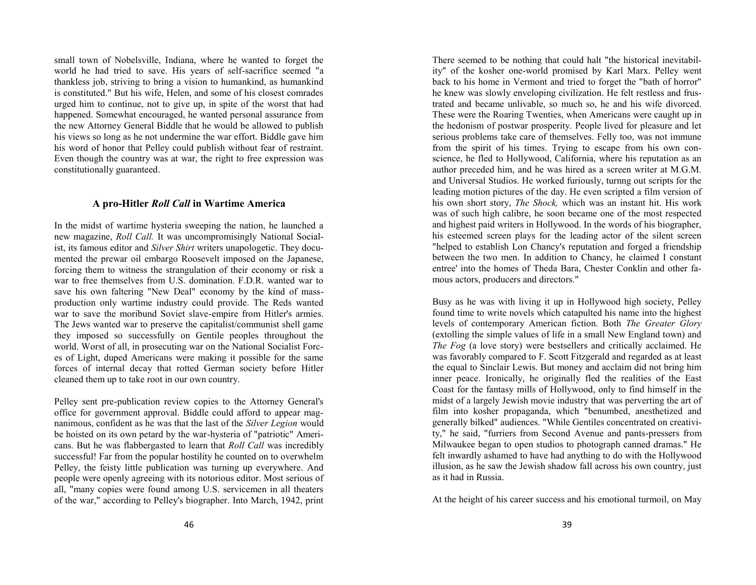small town of Nobelsville, Indiana, where he wanted to forget the world he had tried to save. His years of self-sacrifice seemed "a thankless job, striving to bring a vision to humankind, as humankind is constituted." But his wife, Helen, and some of his closest comrades urged him to continue, not to give up, in spite of the worst that had happened. Somewhat encouraged, he wanted personal assurance from the new Attorney General Biddle that he would be allowed to publish his views so long as he not undermine the war effort. Biddle gave him his word of honor that Pelley could publish without fear of restraint. Even though the country was at war, the right to free expression was constitutionally guaranteed.

#### **A pro-Hitler** *Roll Call* **in Wartime America**

In the midst of wartime hysteria sweeping the nation, he launched a new magazine, *Roll Call.* It was uncompromisingly National Socialist, its famous editor and *Silver Shirt* writers unapologetic. They documented the prewar oil embargo Roosevelt imposed on the Japanese, forcing them to witness the strangulation of their economy or risk a war to free themselves from U.S. domination. F.D.R. wanted war to save his own faltering "New Deal" economy by the kind of massproduction only wartime industry could provide. The Reds wanted war to save the moribund Soviet slave-empire from Hitler's armies. The Jews wanted war to preserve the capitalist/communist shell game they imposed so successfully on Gentile peoples throughout the world. Worst of all, in prosecuting war on the National Socialist Forces of Light, duped Americans were making it possible for the same forces of internal decay that rotted German society before Hitler cleaned them up to take root in our own country.

Pelley sent pre-publication review copies to the Attorney General's office for government approval. Biddle could afford to appear magnanimous, confident as he was that the last of the *Silver Legion* would be hoisted on its own petard by the war-hysteria of "patriotic" Americans. But he was flabbergasted to learn that *Roll Call* was incredibly successful! Far from the popular hostility he counted on to overwhelm Pelley, the feisty little publication was turning up everywhere. And people were openly agreeing with its notorious editor. Most serious of all, "many copies were found among U.S. servicemen in all theaters of the war," according to Pelley's biographer. Into March, 1942, print

There seemed to be nothing that could halt "the historical inevitability" of the kosher one-world promised by Karl Marx. Pelley went back to his home in Vermont and tried to forget the "bath of horror" he knew was slowly enveloping civilization. He felt restless and frustrated and became unlivable, so much so, he and his wife divorced. These were the Roaring Twenties, when Americans were caught up in the hedonism of postwar prosperity. People lived for pleasure and let serious problems take care of themselves. Felly too, was not immune from the spirit of his times. Trying to escape from his own conscience, he fled to Hollywood, California, where his reputation as an author preceded him, and he was hired as a screen writer at M.G.M. and Universal Studios. He worked furiously, turnng out scripts for the leading motion pictures of the day. He even scripted a film version of his own short story, *The Shock,* which was an instant hit. His work was of such high calibre, he soon became one of the most respected and highest paid writers in Hollywood. In the words of his biographer, his esteemed screen plays for the leading actor of the silent screen "helped to establish Lon Chancy's reputation and forged a friendship between the two men. In addition to Chancy, he claimed I constant entree' into the homes of Theda Bara, Chester Conklin and other famous actors, producers and directors."

Busy as he was with living it up in Hollywood high society, Pelley found time to write novels which catapulted his name into the highest levels of contemporary American fiction. Both *The Greater Glory*  (extolling the simple values of life in a small New England town) and *The Fog* (a love story) were bestsellers and critically acclaimed. He was favorably compared to F. Scott Fitzgerald and regarded as at least the equal to Sinclair Lewis. But money and acclaim did not bring him inner peace. Ironically, he originally fled the realities of the East Coast for the fantasy mills of Hollywood, only to find himself in the midst of a largely Jewish movie industry that was perverting the art of film into kosher propaganda, which "benumbed, anesthetized and generally bilked" audiences. "While Gentiles concentrated on creativity," he said, "furriers from Second Avenue and pants-pressers from Milwaukee began to open studios to photograph canned dramas." He felt inwardly ashamed to have had anything to do with the Hollywood illusion, as he saw the Jewish shadow fall across his own country, just as it had in Russia.

At the height of his career success and his emotional turmoil, on May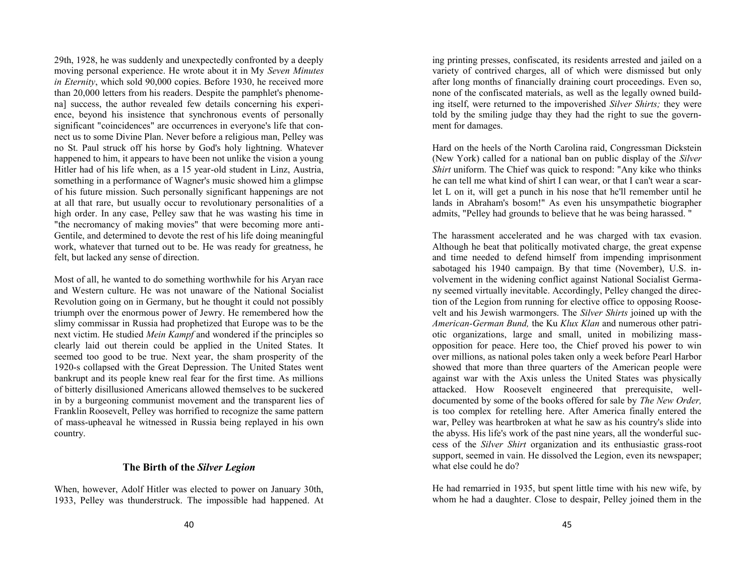29th, 1928, he was suddenly and unexpectedly confronted by a deeply moving personal experience. He wrote about it in My *Seven Minutes in Eternity*, which sold 90,000 copies. Before 1930, he received more than 20,000 letters from his readers. Despite the pamphlet's phenomena] success, the author revealed few details concerning his experience, beyond his insistence that synchronous events of personally significant "coincidences" are occurrences in everyone's life that connect us to some Divine Plan. Never before a religious man, Pelley was no St. Paul struck off his horse by God's holy lightning. Whatever happened to him, it appears to have been not unlike the vision a young Hitler had of his life when, as a 15 year-old student in Linz, Austria, something in a performance of Wagner's music showed him a glimpse of his future mission. Such personally significant happenings are not at all that rare, but usually occur to revolutionary personalities of a high order. In any case, Pelley saw that he was wasting his time in "the necromancy of making movies" that were becoming more anti-Gentile, and determined to devote the rest of his life doing meaningful work, whatever that turned out to be. He was ready for greatness, he felt, but lacked any sense of direction.

Most of all, he wanted to do something worthwhile for his Aryan race and Western culture. He was not unaware of the National Socialist Revolution going on in Germany, but he thought it could not possibly triumph over the enormous power of Jewry. He remembered how the slimy commissar in Russia had prophetized that Europe was to be the next victim. He studied *Mein Kampf* and wondered if the principles so clearly laid out therein could be applied in the United States. It seemed too good to be true. Next year, the sham prosperity of the 1920-s collapsed with the Great Depression. The United States went bankrupt and its people knew real fear for the first time. As millions of bitterly disillusioned Americans allowed themselves to be suckered in by a burgeoning communist movement and the transparent lies of Franklin Roosevelt, Pelley was horrified to recognize the same pattern of mass-upheaval he witnessed in Russia being replayed in his own country.

#### **The Birth of the** *Silver Legion*

When, however, Adolf Hitler was elected to power on January 30th, 1933, Pelley was thunderstruck. The impossible had happened. At ing printing presses, confiscated, its residents arrested and jailed on a variety of contrived charges, all of which were dismissed but only after long months of financially draining court proceedings. Even so, none of the confiscated materials, as well as the legally owned building itself, were returned to the impoverished *Silver Shirts;* they were told by the smiling judge thay they had the right to sue the government for damages.

Hard on the heels of the North Carolina raid, Congressman Dickstein (New York) called for a national ban on public display of the *Silver Shirt* uniform. The Chief was quick to respond: "Any kike who thinks he can tell me what kind of shirt I can wear, or that I can't wear a scarlet L on it, will get a punch in his nose that he'll remember until he lands in Abraham's bosom!" As even his unsympathetic biographer admits, "Pelley had grounds to believe that he was being harassed. "

The harassment accelerated and he was charged with tax evasion. Although he beat that politically motivated charge, the great expense and time needed to defend himself from impending imprisonment sabotaged his 1940 campaign. By that time (November), U.S. involvement in the widening conflict against National Socialist Germany seemed virtually inevitable. Accordingly, Pelley changed the direction of the Legion from running for elective office to opposing Roosevelt and his Jewish warmongers. The *Silver Shirts* joined up with the *American-German Bund,* the Ku *Klux Klan* and numerous other patriotic organizations, large and small, united in mobilizing massopposition for peace. Here too, the Chief proved his power to win over millions, as national poles taken only a week before Pearl Harbor showed that more than three quarters of the American people were against war with the Axis unless the United States was physically attacked. How Roosevelt engineered that prerequisite, welldocumented by some of the books offered for sale by *The New Order,*  is too complex for retelling here. After America finally entered the war, Pelley was heartbroken at what he saw as his country's slide into the abyss. His life's work of the past nine years, all the wonderful success of the *Silver Shirt* organization and its enthusiastic grass-root support, seemed in vain. He dissolved the Legion, even its newspaper; what else could he do?

He had remarried in 1935, but spent little time with his new wife, by whom he had a daughter. Close to despair, Pelley joined them in the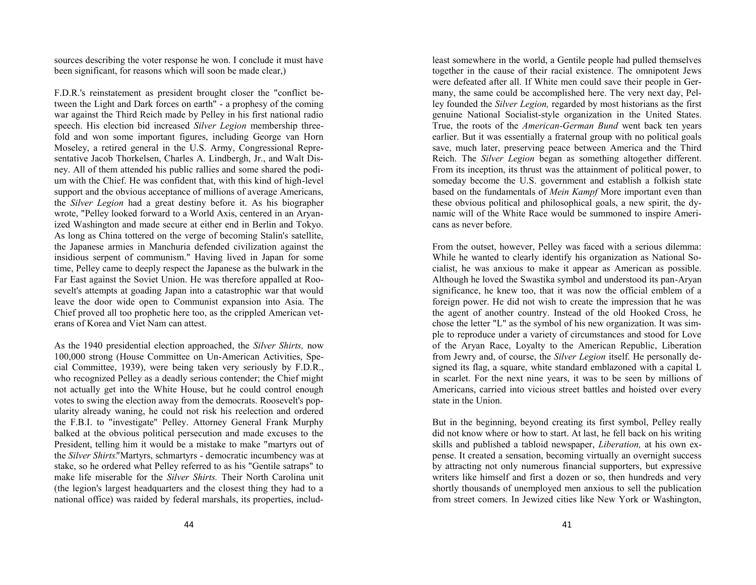sources describing the voter response he won. I conclude it must have been significant, for reasons which will soon be made clear,)

F.D.R.'s reinstatement as president brought closer the "conflict between the Light and Dark forces on earth" - a prophesy of the coming war against the Third Reich made by Pelley in his first national radio speech. His election bid increased *Silver Legion* membership threefold and won some important figures, including George van Horn Moseley, a retired general in the U.S. Army, Congressional Representative Jacob Thorkelsen, Charles A. Lindbergh, Jr., and Walt Disney. All of them attended his public rallies and some shared the podium with the Chief. He was confident that, with this kind of high-level support and the obvious acceptance of millions of average Americans, the *Silver Legion* had a great destiny before it. As his biographer wrote, "Pelley looked forward to a World Axis, centered in an Aryanized Washington and made secure at either end in Berlin and Tokyo. As long as China tottered on the verge of becoming Stalin's satellite, the Japanese armies in Manchuria defended civilization against the insidious serpent of communism." Having lived in Japan for some time, Pelley came to deeply respect the Japanese as the bulwark in the Far East against the Soviet Union. He was therefore appalled at Roosevelt's attempts at goading Japan into a catastrophic war that would leave the door wide open to Communist expansion into Asia. The Chief proved all too prophetic here too, as the crippled American veterans of Korea and Viet Nam can attest.

As the 1940 presidential election approached, the *Silver Shirts,* now 100,000 strong (House Committee on Un-American Activities, Special Committee, 1939), were being taken very seriously by F.D.R., who recognized Pelley as a deadly serious contender; the Chief might not actually get into the White House, but he could control enough votes to swing the election away from the democrats. Roosevelt's popularity already waning, he could not risk his reelection and ordered the F.B.I. to "investigate" Pelley. Attorney General Frank Murphy balked at the obvious political persecution and made excuses to the President, telling him it would be a mistake to make "martyrs out of the *Silver Shirts".* Martyrs, schmartyrs - democratic incumbency was at stake, so he ordered what Pelley referred to as his "Gentile satraps" to make life miserable for the *Silver Shirts.* Their North Carolina unit (the legion's largest headquarters and the closest thing they had to a national office) was raided by federal marshals, its properties, includleast somewhere in the world, a Gentile people had pulled themselves together in the cause of their racial existence. The omnipotent Jews were defeated after all. If White men could save their people in Germany, the same could be accomplished here. The very next day, Pelley founded the *Silver Legion,* regarded by most historians as the first genuine National Socialist-style organization in the United States. True, the roots of the *American-German Bund* went back ten years earlier. But it was essentially a fraternal group with no political goals save, much later, preserving peace between America and the Third Reich. The *Silver Legion* began as something altogether different. From its inception, its thrust was the attainment of political power, to someday become the U.S. government and establish a folkish state based on the fundamentals of *Mein Kampf* More important even than these obvious political and philosophical goals, a new spirit, the dynamic will of the White Race would be summoned to inspire Americans as never before.

From the outset, however, Pelley was faced with a serious dilemma: While he wanted to clearly identify his organization as National Socialist, he was anxious to make it appear as American as possible. Although he loved the Swastika symbol and understood its pan-Aryan significance, he knew too, that it was now the official emblem of a foreign power. He did not wish to create the impression that he was the agent of another country. Instead of the old Hooked Cross, he chose the letter "L" as the symbol of his new organization. It was simple to reproduce under a variety of circumstances and stood for Love of the Aryan Race, Loyalty to the American Republic, Liberation from Jewry and, of course, the *Silver Legion* itself. He personally designed its flag, a square, white standard emblazoned with a capital L in scarlet. For the next nine years, it was to be seen by millions of Americans, carried into vicious street battles and hoisted over every state in the Union.

But in the beginning, beyond creating its first symbol, Pelley really did not know where or how to start. At last, he fell back on his writing skills and published a tabloid newspaper, *Liberation,* at his own expense. It created a sensation, becoming virtually an overnight success by attracting not only numerous financial supporters, but expressive writers like himself and first a dozen or so, then hundreds and very shortly thousands of unemployed men anxious to sell the publication from street comers. In Jewized cities like New York or Washington,